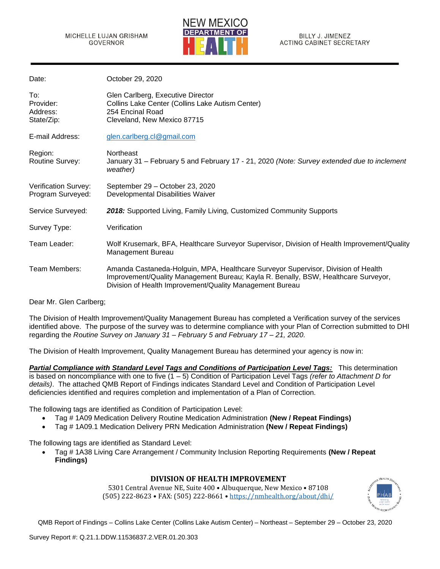

| Date:                                      | October 29, 2020                                                                                                                                                                                                                    |
|--------------------------------------------|-------------------------------------------------------------------------------------------------------------------------------------------------------------------------------------------------------------------------------------|
| To:<br>Provider:<br>Address:<br>State/Zip: | Glen Carlberg, Executive Director<br>Collins Lake Center (Collins Lake Autism Center)<br>254 Encinal Road<br>Cleveland, New Mexico 87715                                                                                            |
| E-mail Address:                            | glen.carlberg.cl@gmail.com                                                                                                                                                                                                          |
| Region:<br>Routine Survey:                 | Northeast<br>January 31 - February 5 and February 17 - 21, 2020 (Note: Survey extended due to inclement<br>weather)                                                                                                                 |
| Verification Survey:<br>Program Surveyed:  | September 29 - October 23, 2020<br>Developmental Disabilities Waiver                                                                                                                                                                |
| Service Surveyed:                          | 2018: Supported Living, Family Living, Customized Community Supports                                                                                                                                                                |
| Survey Type:                               | Verification                                                                                                                                                                                                                        |
| Team Leader:                               | Wolf Krusemark, BFA, Healthcare Surveyor Supervisor, Division of Health Improvement/Quality<br><b>Management Bureau</b>                                                                                                             |
| Team Members:                              | Amanda Castaneda-Holguin, MPA, Healthcare Surveyor Supervisor, Division of Health<br>Improvement/Quality Management Bureau; Kayla R. Benally, BSW, Healthcare Surveyor,<br>Division of Health Improvement/Quality Management Bureau |

Dear Mr. Glen Carlberg;

The Division of Health Improvement/Quality Management Bureau has completed a Verification survey of the services identified above. The purpose of the survey was to determine compliance with your Plan of Correction submitted to DHI regarding the *Routine Survey on January 31 – February 5 and February 17 – 21, 2020.* 

The Division of Health Improvement, Quality Management Bureau has determined your agency is now in:

*Partial Compliance with Standard Level Tags and Conditions of Participation Level Tags:* This determination is based on noncompliance with one to five (1 – 5) Condition of Participation Level Tags *(refer to Attachment D for details)*. The attached QMB Report of Findings indicates Standard Level and Condition of Participation Level deficiencies identified and requires completion and implementation of a Plan of Correction.

The following tags are identified as Condition of Participation Level:

- Tag # 1A09 Medication Delivery Routine Medication Administration **(New / Repeat Findings)**
- Tag # 1A09.1 Medication Delivery PRN Medication Administration **(New / Repeat Findings)**

The following tags are identified as Standard Level:

• Tag # 1A38 Living Care Arrangement / Community Inclusion Reporting Requirements **(New / Repeat Findings)**

### **DIVISION OF HEALTH IMPROVEMENT**

5301 Central Avenue NE, Suite 400 • Albuquerque, New Mexico • 87108 (505) 222-8623 • FAX: (505) 222-8661 • <https://nmhealth.org/about/dhi/>

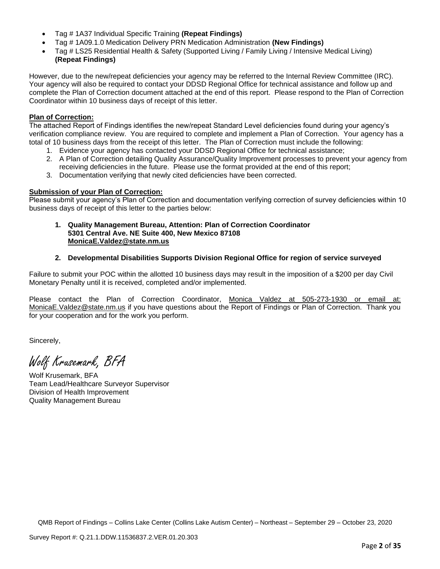- Tag # 1A37 Individual Specific Training **(Repeat Findings)**
- Tag # 1A09.1.0 Medication Delivery PRN Medication Administration **(New Findings)**
- Tag # LS25 Residential Health & Safety (Supported Living / Family Living / Intensive Medical Living) **(Repeat Findings)**

However, due to the new/repeat deficiencies your agency may be referred to the Internal Review Committee (IRC). Your agency will also be required to contact your DDSD Regional Office for technical assistance and follow up and complete the Plan of Correction document attached at the end of this report. Please respond to the Plan of Correction Coordinator within 10 business days of receipt of this letter.

# **Plan of Correction:**

The attached Report of Findings identifies the new/repeat Standard Level deficiencies found during your agency's verification compliance review. You are required to complete and implement a Plan of Correction. Your agency has a total of 10 business days from the receipt of this letter. The Plan of Correction must include the following:

- 1. Evidence your agency has contacted your DDSD Regional Office for technical assistance;
- 2. A Plan of Correction detailing Quality Assurance/Quality Improvement processes to prevent your agency from receiving deficiencies in the future. Please use the format provided at the end of this report;
- 3. Documentation verifying that newly cited deficiencies have been corrected.

## **Submission of your Plan of Correction:**

Please submit your agency's Plan of Correction and documentation verifying correction of survey deficiencies within 10 business days of receipt of this letter to the parties below:

#### **1. Quality Management Bureau, Attention: Plan of Correction Coordinator 5301 Central Ave. NE Suite 400, New Mexico 87108 [MonicaE.Valdez@state.nm.us](mailto:MonicaE.Valdez@state.nm.us)**

## **2. Developmental Disabilities Supports Division Regional Office for region of service surveyed**

Failure to submit your POC within the allotted 10 business days may result in the imposition of a \$200 per day Civil Monetary Penalty until it is received, completed and/or implemented.

Please contact the Plan of Correction Coordinator, Monica Valdez at 505-273-1930 or email at: [MonicaE.Valdez@state.nm.us](mailto:MonicaE.Valdez@state.nm.us) if you have questions about the Report of Findings or Plan of Correction. Thank you for your cooperation and for the work you perform.

Sincerely,

Wolf Krusemark, BFA

Wolf Krusemark, BFA Team Lead/Healthcare Surveyor Supervisor Division of Health Improvement Quality Management Bureau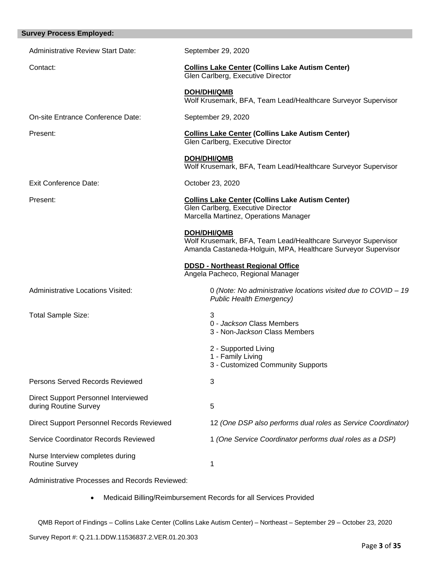| <b>Survey Process Employed:</b>                               |                                                                                                                                                      |
|---------------------------------------------------------------|------------------------------------------------------------------------------------------------------------------------------------------------------|
| <b>Administrative Review Start Date:</b>                      | September 29, 2020                                                                                                                                   |
| Contact:                                                      | <b>Collins Lake Center (Collins Lake Autism Center)</b><br>Glen Carlberg, Executive Director                                                         |
|                                                               | <b>DOH/DHI/QMB</b><br>Wolf Krusemark, BFA, Team Lead/Healthcare Surveyor Supervisor                                                                  |
| On-site Entrance Conference Date:                             | September 29, 2020                                                                                                                                   |
| Present:                                                      | <b>Collins Lake Center (Collins Lake Autism Center)</b><br>Glen Carlberg, Executive Director                                                         |
|                                                               | <b>DOH/DHI/QMB</b><br>Wolf Krusemark, BFA, Team Lead/Healthcare Surveyor Supervisor                                                                  |
| <b>Exit Conference Date:</b>                                  | October 23, 2020                                                                                                                                     |
| Present:                                                      | <b>Collins Lake Center (Collins Lake Autism Center)</b><br>Glen Carlberg, Executive Director<br>Marcella Martinez, Operations Manager                |
|                                                               | <b>DOH/DHI/QMB</b><br>Wolf Krusemark, BFA, Team Lead/Healthcare Surveyor Supervisor<br>Amanda Castaneda-Holguin, MPA, Healthcare Surveyor Supervisor |
|                                                               | <b>DDSD - Northeast Regional Office</b><br>Angela Pacheco, Regional Manager                                                                          |
| Administrative Locations Visited:                             | 0 (Note: No administrative locations visited due to COVID - 19<br><b>Public Health Emergency)</b>                                                    |
| Total Sample Size:                                            | 3<br>0 - Jackson Class Members<br>3 - Non-Jackson Class Members                                                                                      |
|                                                               | 2 - Supported Living<br>1 - Family Living<br>3 - Customized Community Supports                                                                       |
| <b>Persons Served Records Reviewed</b>                        | 3                                                                                                                                                    |
| Direct Support Personnel Interviewed<br>during Routine Survey | 5                                                                                                                                                    |
| Direct Support Personnel Records Reviewed                     | 12 (One DSP also performs dual roles as Service Coordinator)                                                                                         |
| Service Coordinator Records Reviewed                          | 1 (One Service Coordinator performs dual roles as a DSP)                                                                                             |
| Nurse Interview completes during<br><b>Routine Survey</b>     | 1                                                                                                                                                    |
| Administrative Processes and Records Reviewed:                |                                                                                                                                                      |

• Medicaid Billing/Reimbursement Records for all Services Provided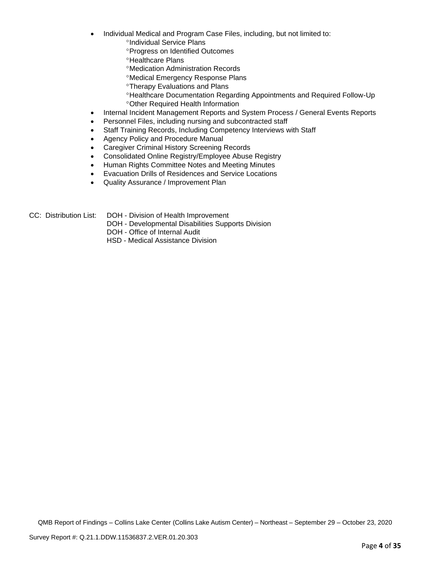- Individual Medical and Program Case Files, including, but not limited to:
	- <sup>o</sup>Individual Service Plans
	- **Progress on Identified Outcomes**
	- **<sup>o</sup>Healthcare Plans**
	- Medication Administration Records
	- Medical Emergency Response Plans
	- **<sup>o</sup>Therapy Evaluations and Plans**
	- Healthcare Documentation Regarding Appointments and Required Follow-Up Other Required Health Information
- Internal Incident Management Reports and System Process / General Events Reports
- Personnel Files, including nursing and subcontracted staff
- Staff Training Records, Including Competency Interviews with Staff
- Agency Policy and Procedure Manual
- Caregiver Criminal History Screening Records
- Consolidated Online Registry/Employee Abuse Registry
- Human Rights Committee Notes and Meeting Minutes
- Evacuation Drills of Residences and Service Locations
- Quality Assurance / Improvement Plan

- CC: Distribution List: DOH Division of Health Improvement
	- DOH Developmental Disabilities Supports Division
	- DOH Office of Internal Audit
	- HSD Medical Assistance Division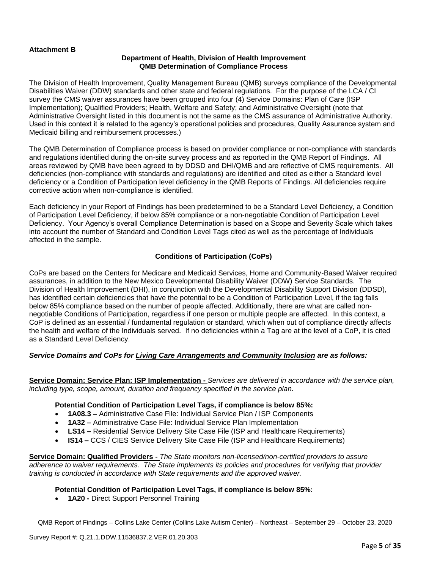## **Attachment B**

#### **Department of Health, Division of Health Improvement QMB Determination of Compliance Process**

The Division of Health Improvement, Quality Management Bureau (QMB) surveys compliance of the Developmental Disabilities Waiver (DDW) standards and other state and federal regulations. For the purpose of the LCA / CI survey the CMS waiver assurances have been grouped into four (4) Service Domains: Plan of Care (ISP Implementation); Qualified Providers; Health, Welfare and Safety; and Administrative Oversight (note that Administrative Oversight listed in this document is not the same as the CMS assurance of Administrative Authority. Used in this context it is related to the agency's operational policies and procedures, Quality Assurance system and Medicaid billing and reimbursement processes.)

The QMB Determination of Compliance process is based on provider compliance or non-compliance with standards and regulations identified during the on-site survey process and as reported in the QMB Report of Findings. All areas reviewed by QMB have been agreed to by DDSD and DHI/QMB and are reflective of CMS requirements. All deficiencies (non-compliance with standards and regulations) are identified and cited as either a Standard level deficiency or a Condition of Participation level deficiency in the QMB Reports of Findings. All deficiencies require corrective action when non-compliance is identified.

Each deficiency in your Report of Findings has been predetermined to be a Standard Level Deficiency, a Condition of Participation Level Deficiency, if below 85% compliance or a non-negotiable Condition of Participation Level Deficiency. Your Agency's overall Compliance Determination is based on a Scope and Severity Scale which takes into account the number of Standard and Condition Level Tags cited as well as the percentage of Individuals affected in the sample.

#### **Conditions of Participation (CoPs)**

CoPs are based on the Centers for Medicare and Medicaid Services, Home and Community-Based Waiver required assurances, in addition to the New Mexico Developmental Disability Waiver (DDW) Service Standards. The Division of Health Improvement (DHI), in conjunction with the Developmental Disability Support Division (DDSD), has identified certain deficiencies that have the potential to be a Condition of Participation Level, if the tag falls below 85% compliance based on the number of people affected. Additionally, there are what are called nonnegotiable Conditions of Participation, regardless if one person or multiple people are affected. In this context, a CoP is defined as an essential / fundamental regulation or standard, which when out of compliance directly affects the health and welfare of the Individuals served. If no deficiencies within a Tag are at the level of a CoP, it is cited as a Standard Level Deficiency.

### *Service Domains and CoPs for Living Care Arrangements and Community Inclusion are as follows:*

**Service Domain: Service Plan: ISP Implementation -** *Services are delivered in accordance with the service plan, including type, scope, amount, duration and frequency specified in the service plan.*

#### **Potential Condition of Participation Level Tags, if compliance is below 85%:**

- **1A08.3 –** Administrative Case File: Individual Service Plan / ISP Components
- **1A32 –** Administrative Case File: Individual Service Plan Implementation
- **LS14 –** Residential Service Delivery Site Case File (ISP and Healthcare Requirements)
- **IS14 –** CCS / CIES Service Delivery Site Case File (ISP and Healthcare Requirements)

**Service Domain: Qualified Providers -** *The State monitors non-licensed/non-certified providers to assure adherence to waiver requirements. The State implements its policies and procedures for verifying that provider training is conducted in accordance with State requirements and the approved waiver.*

### **Potential Condition of Participation Level Tags, if compliance is below 85%:**

• **1A20 -** Direct Support Personnel Training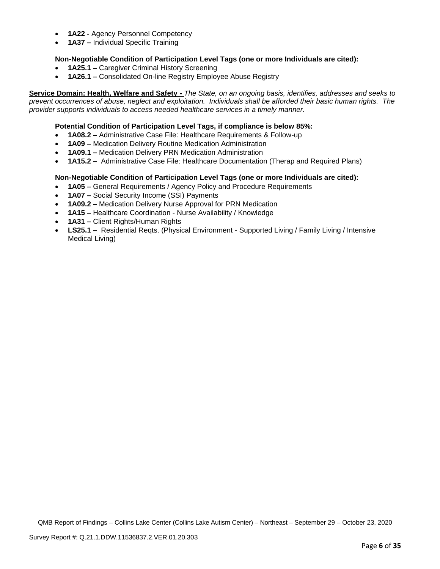- **1A22 -** Agency Personnel Competency
- **1A37 –** Individual Specific Training

### **Non-Negotiable Condition of Participation Level Tags (one or more Individuals are cited):**

- **1A25.1 –** Caregiver Criminal History Screening
- **1A26.1 –** Consolidated On-line Registry Employee Abuse Registry

**Service Domain: Health, Welfare and Safety -** *The State, on an ongoing basis, identifies, addresses and seeks to prevent occurrences of abuse, neglect and exploitation. Individuals shall be afforded their basic human rights. The provider supports individuals to access needed healthcare services in a timely manner.*

### **Potential Condition of Participation Level Tags, if compliance is below 85%:**

- **1A08.2 –** Administrative Case File: Healthcare Requirements & Follow-up
- **1A09 –** Medication Delivery Routine Medication Administration
- **1A09.1 –** Medication Delivery PRN Medication Administration
- **1A15.2 –** Administrative Case File: Healthcare Documentation (Therap and Required Plans)

### **Non-Negotiable Condition of Participation Level Tags (one or more Individuals are cited):**

- **1A05 –** General Requirements / Agency Policy and Procedure Requirements
- **1A07 –** Social Security Income (SSI) Payments
- **1A09.2 –** Medication Delivery Nurse Approval for PRN Medication
- **1A15 –** Healthcare Coordination Nurse Availability / Knowledge
- **1A31 –** Client Rights/Human Rights
- **LS25.1 –** Residential Reqts. (Physical Environment Supported Living / Family Living / Intensive Medical Living)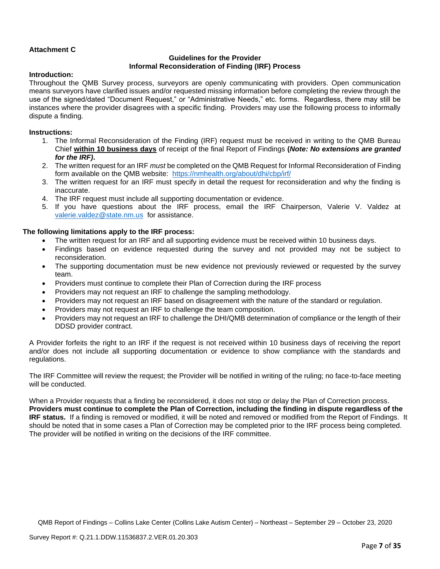## **Attachment C**

### **Guidelines for the Provider Informal Reconsideration of Finding (IRF) Process**

### **Introduction:**

Throughout the QMB Survey process, surveyors are openly communicating with providers. Open communication means surveyors have clarified issues and/or requested missing information before completing the review through the use of the signed/dated "Document Request," or "Administrative Needs," etc. forms. Regardless, there may still be instances where the provider disagrees with a specific finding. Providers may use the following process to informally dispute a finding.

### **Instructions:**

- 1. The Informal Reconsideration of the Finding (IRF) request must be received in writing to the QMB Bureau Chief **within 10 business days** of receipt of the final Report of Findings **(***Note: No extensions are granted for the IRF)***.**
- 2. The written request for an IRF *must* be completed on the QMB Request for Informal Reconsideration of Finding form available on the QMB website: <https://nmhealth.org/about/dhi/cbp/irf/>
- 3. The written request for an IRF must specify in detail the request for reconsideration and why the finding is inaccurate.
- 4. The IRF request must include all supporting documentation or evidence.
- 5. If you have questions about the IRF process, email the IRF Chairperson, Valerie V. Valdez at [valerie.valdez@state.nm.us](mailto:valerie.valdez@state.nm.us) for assistance.

### **The following limitations apply to the IRF process:**

- The written request for an IRF and all supporting evidence must be received within 10 business days.
- Findings based on evidence requested during the survey and not provided may not be subject to reconsideration.
- The supporting documentation must be new evidence not previously reviewed or requested by the survey team.
- Providers must continue to complete their Plan of Correction during the IRF process
- Providers may not request an IRF to challenge the sampling methodology.
- Providers may not request an IRF based on disagreement with the nature of the standard or regulation.
- Providers may not request an IRF to challenge the team composition.
- Providers may not request an IRF to challenge the DHI/QMB determination of compliance or the length of their DDSD provider contract.

A Provider forfeits the right to an IRF if the request is not received within 10 business days of receiving the report and/or does not include all supporting documentation or evidence to show compliance with the standards and regulations.

The IRF Committee will review the request; the Provider will be notified in writing of the ruling; no face-to-face meeting will be conducted.

When a Provider requests that a finding be reconsidered, it does not stop or delay the Plan of Correction process. **Providers must continue to complete the Plan of Correction, including the finding in dispute regardless of the IRF status.** If a finding is removed or modified, it will be noted and removed or modified from the Report of Findings. It should be noted that in some cases a Plan of Correction may be completed prior to the IRF process being completed. The provider will be notified in writing on the decisions of the IRF committee.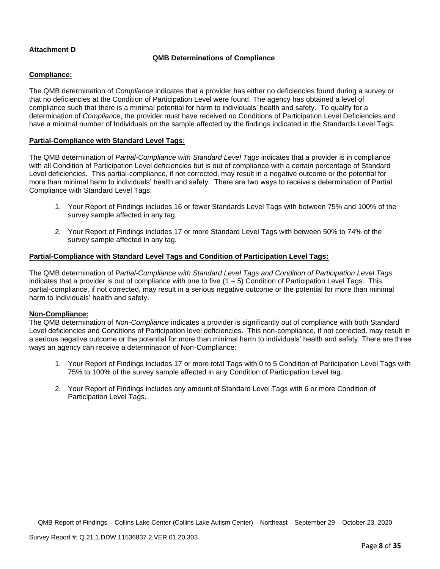# **Attachment D**

## **QMB Determinations of Compliance**

### **Compliance:**

The QMB determination of *Compliance* indicates that a provider has either no deficiencies found during a survey or that no deficiencies at the Condition of Participation Level were found. The agency has obtained a level of compliance such that there is a minimal potential for harm to individuals' health and safety. To qualify for a determination of *Compliance*, the provider must have received no Conditions of Participation Level Deficiencies and have a minimal number of Individuals on the sample affected by the findings indicated in the Standards Level Tags.

### **Partial-Compliance with Standard Level Tags:**

The QMB determination of *Partial-Compliance with Standard Level Tags* indicates that a provider is in compliance with all Condition of Participation Level deficiencies but is out of compliance with a certain percentage of Standard Level deficiencies. This partial-compliance, if not corrected, may result in a negative outcome or the potential for more than minimal harm to individuals' health and safety. There are two ways to receive a determination of Partial Compliance with Standard Level Tags:

- 1. Your Report of Findings includes 16 or fewer Standards Level Tags with between 75% and 100% of the survey sample affected in any tag.
- 2. Your Report of Findings includes 17 or more Standard Level Tags with between 50% to 74% of the survey sample affected in any tag.

## **Partial-Compliance with Standard Level Tags and Condition of Participation Level Tags:**

The QMB determination of *Partial-Compliance with Standard Level Tags and Condition of Participation Level Tags*  indicates that a provider is out of compliance with one to five  $(1 - 5)$  Condition of Participation Level Tags. This partial-compliance, if not corrected, may result in a serious negative outcome or the potential for more than minimal harm to individuals' health and safety.

#### **Non-Compliance:**

The QMB determination of *Non-Compliance* indicates a provider is significantly out of compliance with both Standard Level deficiencies and Conditions of Participation level deficiencies. This non-compliance, if not corrected, may result in a serious negative outcome or the potential for more than minimal harm to individuals' health and safety. There are three ways an agency can receive a determination of Non-Compliance:

- 1. Your Report of Findings includes 17 or more total Tags with 0 to 5 Condition of Participation Level Tags with 75% to 100% of the survey sample affected in any Condition of Participation Level tag.
- 2. Your Report of Findings includes any amount of Standard Level Tags with 6 or more Condition of Participation Level Tags.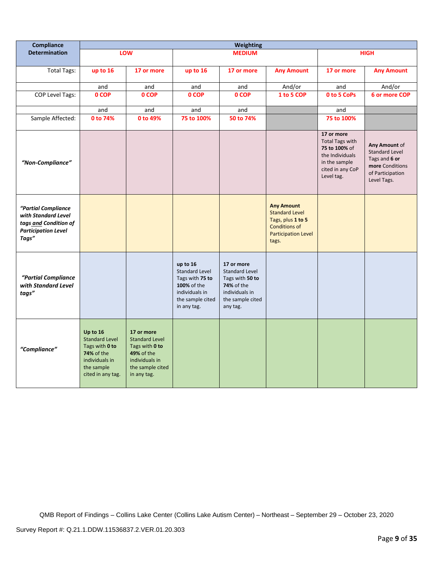| <b>Compliance</b>                                                                                          | Weighting                                                                                                                     |                                                                                                                          |                                                                                                                          |                                                                                                                               |                                                                                                                                |                                                                                                                             |                                                                                                               |
|------------------------------------------------------------------------------------------------------------|-------------------------------------------------------------------------------------------------------------------------------|--------------------------------------------------------------------------------------------------------------------------|--------------------------------------------------------------------------------------------------------------------------|-------------------------------------------------------------------------------------------------------------------------------|--------------------------------------------------------------------------------------------------------------------------------|-----------------------------------------------------------------------------------------------------------------------------|---------------------------------------------------------------------------------------------------------------|
| <b>Determination</b>                                                                                       |                                                                                                                               | LOW                                                                                                                      | <b>MEDIUM</b>                                                                                                            |                                                                                                                               | <b>HIGH</b>                                                                                                                    |                                                                                                                             |                                                                                                               |
| <b>Total Tags:</b>                                                                                         | up to 16                                                                                                                      | 17 or more                                                                                                               | up to 16                                                                                                                 | 17 or more                                                                                                                    | <b>Any Amount</b>                                                                                                              | 17 or more                                                                                                                  | <b>Any Amount</b>                                                                                             |
|                                                                                                            | and                                                                                                                           | and                                                                                                                      | and                                                                                                                      | and                                                                                                                           | And/or                                                                                                                         | and                                                                                                                         | And/or                                                                                                        |
| <b>COP Level Tags:</b>                                                                                     | 0 COP                                                                                                                         | 0 COP                                                                                                                    | 0 COP                                                                                                                    | 0 COP                                                                                                                         | 1 to 5 COP                                                                                                                     | 0 to 5 CoPs                                                                                                                 | 6 or more COP                                                                                                 |
|                                                                                                            | and                                                                                                                           | and                                                                                                                      | and                                                                                                                      | and                                                                                                                           |                                                                                                                                | and                                                                                                                         |                                                                                                               |
| Sample Affected:                                                                                           | 0 to 74%                                                                                                                      | 0 to 49%                                                                                                                 | 75 to 100%                                                                                                               | 50 to 74%                                                                                                                     |                                                                                                                                | 75 to 100%                                                                                                                  |                                                                                                               |
| "Non-Compliance"                                                                                           |                                                                                                                               |                                                                                                                          |                                                                                                                          |                                                                                                                               |                                                                                                                                | 17 or more<br><b>Total Tags with</b><br>75 to 100% of<br>the Individuals<br>in the sample<br>cited in any CoP<br>Level tag. | Any Amount of<br><b>Standard Level</b><br>Tags and 6 or<br>more Conditions<br>of Participation<br>Level Tags. |
| "Partial Compliance<br>with Standard Level<br>tags and Condition of<br><b>Participation Level</b><br>Tags" |                                                                                                                               |                                                                                                                          |                                                                                                                          |                                                                                                                               | <b>Any Amount</b><br><b>Standard Level</b><br>Tags, plus 1 to 5<br><b>Conditions of</b><br><b>Participation Level</b><br>tags. |                                                                                                                             |                                                                                                               |
| "Partial Compliance<br>with Standard Level<br>tags"                                                        |                                                                                                                               |                                                                                                                          | up to 16<br><b>Standard Level</b><br>Tags with 75 to<br>100% of the<br>individuals in<br>the sample cited<br>in any tag. | 17 or more<br><b>Standard Level</b><br>Tags with 50 to<br><b>74%</b> of the<br>individuals in<br>the sample cited<br>any tag. |                                                                                                                                |                                                                                                                             |                                                                                                               |
| "Compliance"                                                                                               | Up to 16<br><b>Standard Level</b><br>Tags with 0 to<br><b>74% of the</b><br>individuals in<br>the sample<br>cited in any tag. | 17 or more<br><b>Standard Level</b><br>Tags with 0 to<br>49% of the<br>individuals in<br>the sample cited<br>in any tag. |                                                                                                                          |                                                                                                                               |                                                                                                                                |                                                                                                                             |                                                                                                               |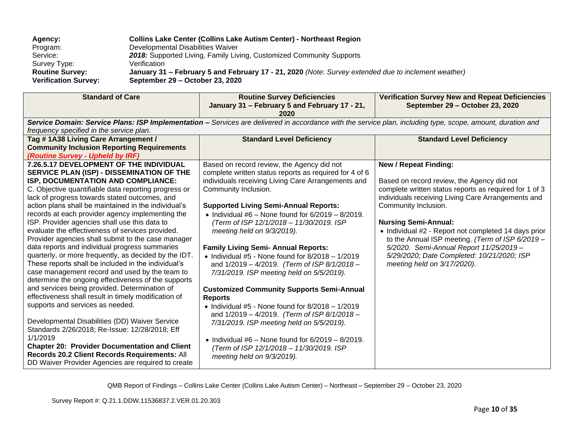| Agency:                     | <b>Collins Lake Center (Collins Lake Autism Center) - Northeast Region</b>                          |
|-----------------------------|-----------------------------------------------------------------------------------------------------|
| Program:                    | Developmental Disabilities Waiver                                                                   |
| Service:                    | 2018: Supported Living, Family Living, Customized Community Supports                                |
| Survey Type:                | Verification                                                                                        |
| <b>Routine Survey:</b>      | January 31 - February 5 and February 17 - 21, 2020 (Note: Survey extended due to inclement weather) |
| <b>Verification Survey:</b> | September 29 – October 23, 2020                                                                     |

| <b>Standard of Care</b>                                                                                                                                                                                                                                                                                                                                                                                                                                                                                                                                                                                                                                                                                                                                                                                                                                                                                                                                                                                                                                                                                                                                                                                           | <b>Routine Survey Deficiencies</b><br>January 31 - February 5 and February 17 - 21,<br>2020                                                                                                                                                                                                                                                                                                                                                                                                                                                                                                                                                                                                                                                                                                                                                                                                                                              | <b>Verification Survey New and Repeat Deficiencies</b><br>September 29 - October 23, 2020                                                                                                                                                                                                                                                                                                                                                                                             |
|-------------------------------------------------------------------------------------------------------------------------------------------------------------------------------------------------------------------------------------------------------------------------------------------------------------------------------------------------------------------------------------------------------------------------------------------------------------------------------------------------------------------------------------------------------------------------------------------------------------------------------------------------------------------------------------------------------------------------------------------------------------------------------------------------------------------------------------------------------------------------------------------------------------------------------------------------------------------------------------------------------------------------------------------------------------------------------------------------------------------------------------------------------------------------------------------------------------------|------------------------------------------------------------------------------------------------------------------------------------------------------------------------------------------------------------------------------------------------------------------------------------------------------------------------------------------------------------------------------------------------------------------------------------------------------------------------------------------------------------------------------------------------------------------------------------------------------------------------------------------------------------------------------------------------------------------------------------------------------------------------------------------------------------------------------------------------------------------------------------------------------------------------------------------|---------------------------------------------------------------------------------------------------------------------------------------------------------------------------------------------------------------------------------------------------------------------------------------------------------------------------------------------------------------------------------------------------------------------------------------------------------------------------------------|
| frequency specified in the service plan.                                                                                                                                                                                                                                                                                                                                                                                                                                                                                                                                                                                                                                                                                                                                                                                                                                                                                                                                                                                                                                                                                                                                                                          | Service Domain: Service Plans: ISP Implementation - Services are delivered in accordance with the service plan, including type, scope, amount, duration and                                                                                                                                                                                                                                                                                                                                                                                                                                                                                                                                                                                                                                                                                                                                                                              |                                                                                                                                                                                                                                                                                                                                                                                                                                                                                       |
| Tag #1A38 Living Care Arrangement /<br><b>Community Inclusion Reporting Requirements</b><br>(Routine Survey - Upheld by IRF)                                                                                                                                                                                                                                                                                                                                                                                                                                                                                                                                                                                                                                                                                                                                                                                                                                                                                                                                                                                                                                                                                      | <b>Standard Level Deficiency</b>                                                                                                                                                                                                                                                                                                                                                                                                                                                                                                                                                                                                                                                                                                                                                                                                                                                                                                         | <b>Standard Level Deficiency</b>                                                                                                                                                                                                                                                                                                                                                                                                                                                      |
| 7.26.5.17 DEVELOPMENT OF THE INDIVIDUAL<br>SERVICE PLAN (ISP) - DISSEMINATION OF THE<br>ISP, DOCUMENTATION AND COMPLIANCE:<br>C. Objective quantifiable data reporting progress or<br>lack of progress towards stated outcomes, and<br>action plans shall be maintained in the individual's<br>records at each provider agency implementing the<br>ISP. Provider agencies shall use this data to<br>evaluate the effectiveness of services provided.<br>Provider agencies shall submit to the case manager<br>data reports and individual progress summaries<br>quarterly, or more frequently, as decided by the IDT.<br>These reports shall be included in the individual's<br>case management record and used by the team to<br>determine the ongoing effectiveness of the supports<br>and services being provided. Determination of<br>effectiveness shall result in timely modification of<br>supports and services as needed.<br>Developmental Disabilities (DD) Waiver Service<br>Standards 2/26/2018; Re-Issue: 12/28/2018; Eff<br>1/1/2019<br><b>Chapter 20: Provider Documentation and Client</b><br>Records 20.2 Client Records Requirements: All<br>DD Waiver Provider Agencies are required to create | Based on record review, the Agency did not<br>complete written status reports as required for 4 of 6<br>individuals receiving Living Care Arrangements and<br>Community Inclusion.<br><b>Supported Living Semi-Annual Reports:</b><br>• Individual $#6$ – None found for $6/2019 - 8/2019$ .<br>(Term of ISP 12/1/2018 - 11/30/2019. ISP<br>meeting held on 9/3/2019).<br><b>Family Living Semi- Annual Reports:</b><br>$\bullet$ Individual #5 - None found for 8/2018 - 1/2019<br>and 1/2019 - 4/2019. (Term of ISP 8/1/2018 -<br>7/31/2019. ISP meeting held on 5/5/2019).<br><b>Customized Community Supports Semi-Annual</b><br><b>Reports</b><br>• Individual #5 - None found for $8/2018 - 1/2019$<br>and 1/2019 - 4/2019. (Term of ISP 8/1/2018 -<br>7/31/2019. ISP meeting held on 5/5/2019).<br>• Individual #6 – None found for $6/2019 - 8/2019$ .<br>(Term of ISP 12/1/2018 - 11/30/2019. ISP<br>meeting held on 9/3/2019). | <b>New / Repeat Finding:</b><br>Based on record review, the Agency did not<br>complete written status reports as required for 1 of 3<br>individuals receiving Living Care Arrangements and<br>Community Inclusion.<br><b>Nursing Semi-Annual:</b><br>• Individual #2 - Report not completed 14 days prior<br>to the Annual ISP meeting. (Term of ISP 6/2019 -<br>5/2020. Semi-Annual Report 11/25/2019 -<br>5/29/2020; Date Completed: 10/21/2020; ISP<br>meeting held on 3/17/2020). |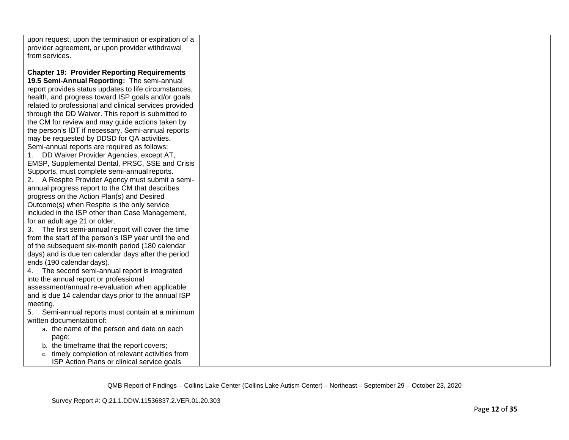| upon request, upon the termination or expiration of a  |  |
|--------------------------------------------------------|--|
| provider agreement, or upon provider withdrawal        |  |
| from services.                                         |  |
|                                                        |  |
|                                                        |  |
| <b>Chapter 19: Provider Reporting Requirements</b>     |  |
| 19.5 Semi-Annual Reporting: The semi-annual            |  |
| report provides status updates to life circumstances,  |  |
| health, and progress toward ISP goals and/or goals     |  |
| related to professional and clinical services provided |  |
| through the DD Waiver. This report is submitted to     |  |
| the CM for review and may guide actions taken by       |  |
| the person's IDT if necessary. Semi-annual reports     |  |
| may be requested by DDSD for QA activities.            |  |
|                                                        |  |
| Semi-annual reports are required as follows:           |  |
| DD Waiver Provider Agencies, except AT,                |  |
| EMSP, Supplemental Dental, PRSC, SSE and Crisis        |  |
| Supports, must complete semi-annual reports.           |  |
| 2. A Respite Provider Agency must submit a semi-       |  |
| annual progress report to the CM that describes        |  |
| progress on the Action Plan(s) and Desired             |  |
| Outcome(s) when Respite is the only service            |  |
| included in the ISP other than Case Management,        |  |
| for an adult age 21 or older.                          |  |
| 3. The first semi-annual report will cover the time    |  |
| from the start of the person's ISP year until the end  |  |
| of the subsequent six-month period (180 calendar       |  |
| days) and is due ten calendar days after the period    |  |
| ends (190 calendar days).                              |  |
| 4. The second semi-annual report is integrated         |  |
| into the annual report or professional                 |  |
| assessment/annual re-evaluation when applicable        |  |
| and is due 14 calendar days prior to the annual ISP    |  |
| meeting.                                               |  |
| Semi-annual reports must contain at a minimum<br>5.    |  |
| written documentation of:                              |  |
| a. the name of the person and date on each             |  |
|                                                        |  |
| page;                                                  |  |
| b. the timeframe that the report covers;               |  |
| c. timely completion of relevant activities from       |  |
| ISP Action Plans or clinical service goals             |  |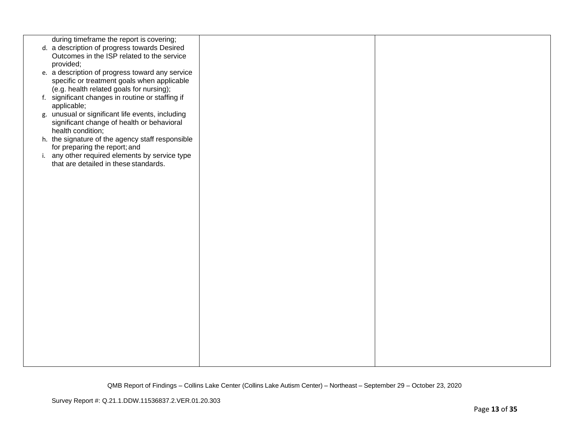| during timeframe the report is covering;<br>d. a description of progress towards Desired<br>Outcomes in the ISP related to the service |  |
|----------------------------------------------------------------------------------------------------------------------------------------|--|
| provided;                                                                                                                              |  |
| e. a description of progress toward any service<br>specific or treatment goals when applicable                                         |  |
| (e.g. health related goals for nursing);                                                                                               |  |
| f. significant changes in routine or staffing if                                                                                       |  |
| applicable;                                                                                                                            |  |
| g. unusual or significant life events, including<br>significant change of health or behavioral                                         |  |
| health condition;                                                                                                                      |  |
| h. the signature of the agency staff responsible                                                                                       |  |
| for preparing the report; and<br>i. any other required elements by service type                                                        |  |
| that are detailed in these standards.                                                                                                  |  |
|                                                                                                                                        |  |
|                                                                                                                                        |  |
|                                                                                                                                        |  |
|                                                                                                                                        |  |
|                                                                                                                                        |  |
|                                                                                                                                        |  |
|                                                                                                                                        |  |
|                                                                                                                                        |  |
|                                                                                                                                        |  |
|                                                                                                                                        |  |
|                                                                                                                                        |  |
|                                                                                                                                        |  |
|                                                                                                                                        |  |
|                                                                                                                                        |  |
|                                                                                                                                        |  |
|                                                                                                                                        |  |
|                                                                                                                                        |  |
|                                                                                                                                        |  |
|                                                                                                                                        |  |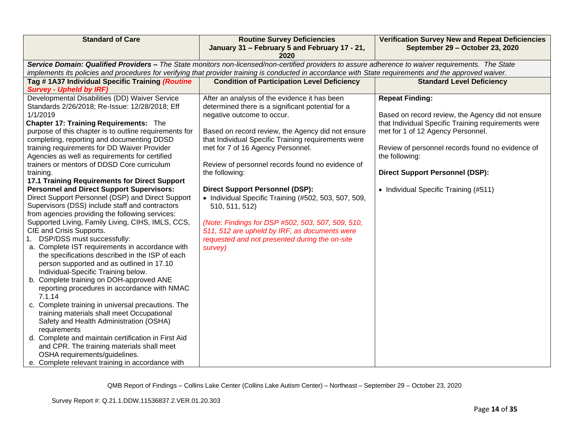| <b>Standard of Care</b>                                                                                                                             | <b>Routine Survey Deficiencies</b><br>January 31 - February 5 and February 17 - 21,                                                                     | <b>Verification Survey New and Repeat Deficiencies</b><br>September 29 - October 23, 2020 |  |  |
|-----------------------------------------------------------------------------------------------------------------------------------------------------|---------------------------------------------------------------------------------------------------------------------------------------------------------|-------------------------------------------------------------------------------------------|--|--|
|                                                                                                                                                     | 2020                                                                                                                                                    |                                                                                           |  |  |
| Service Domain: Qualified Providers - The State monitors non-licensed/non-certified providers to assure adherence to waiver requirements. The State |                                                                                                                                                         |                                                                                           |  |  |
|                                                                                                                                                     | implements its policies and procedures for verifying that provider training is conducted in accordance with State requirements and the approved waiver. |                                                                                           |  |  |
| Tag #1A37 Individual Specific Training (Routine                                                                                                     | <b>Condition of Participation Level Deficiency</b>                                                                                                      | <b>Standard Level Deficiency</b>                                                          |  |  |
| <b>Survey - Upheld by IRF)</b>                                                                                                                      |                                                                                                                                                         |                                                                                           |  |  |
| Developmental Disabilities (DD) Waiver Service                                                                                                      | After an analysis of the evidence it has been                                                                                                           | <b>Repeat Finding:</b>                                                                    |  |  |
| Standards 2/26/2018; Re-Issue: 12/28/2018; Eff                                                                                                      | determined there is a significant potential for a                                                                                                       |                                                                                           |  |  |
| 1/1/2019                                                                                                                                            | negative outcome to occur.                                                                                                                              | Based on record review, the Agency did not ensure                                         |  |  |
| <b>Chapter 17: Training Requirements: The</b>                                                                                                       |                                                                                                                                                         | that Individual Specific Training requirements were                                       |  |  |
| purpose of this chapter is to outline requirements for                                                                                              | Based on record review, the Agency did not ensure                                                                                                       | met for 1 of 12 Agency Personnel.                                                         |  |  |
| completing, reporting and documenting DDSD                                                                                                          | that Individual Specific Training requirements were                                                                                                     |                                                                                           |  |  |
| training requirements for DD Waiver Provider                                                                                                        | met for 7 of 16 Agency Personnel.                                                                                                                       | Review of personnel records found no evidence of                                          |  |  |
| Agencies as well as requirements for certified                                                                                                      |                                                                                                                                                         | the following:                                                                            |  |  |
| trainers or mentors of DDSD Core curriculum                                                                                                         | Review of personnel records found no evidence of                                                                                                        |                                                                                           |  |  |
| training.                                                                                                                                           | the following:                                                                                                                                          | <b>Direct Support Personnel (DSP):</b>                                                    |  |  |
| 17.1 Training Requirements for Direct Support                                                                                                       |                                                                                                                                                         |                                                                                           |  |  |
| <b>Personnel and Direct Support Supervisors:</b>                                                                                                    | <b>Direct Support Personnel (DSP):</b>                                                                                                                  | • Individual Specific Training (#511)                                                     |  |  |
| Direct Support Personnel (DSP) and Direct Support                                                                                                   | • Individual Specific Training (#502, 503, 507, 509,                                                                                                    |                                                                                           |  |  |
| Supervisors (DSS) include staff and contractors                                                                                                     | 510, 511, 512)                                                                                                                                          |                                                                                           |  |  |
| from agencies providing the following services:                                                                                                     |                                                                                                                                                         |                                                                                           |  |  |
| Supported Living, Family Living, CIHS, IMLS, CCS,<br>CIE and Crisis Supports.                                                                       | (Note: Findings for DSP #502, 503, 507, 509, 510,                                                                                                       |                                                                                           |  |  |
| 1. DSP/DSS must successfully:                                                                                                                       | 511, 512 are upheld by IRF, as documents were                                                                                                           |                                                                                           |  |  |
| a. Complete IST requirements in accordance with                                                                                                     | requested and not presented during the on-site                                                                                                          |                                                                                           |  |  |
| the specifications described in the ISP of each                                                                                                     | survey)                                                                                                                                                 |                                                                                           |  |  |
| person supported and as outlined in 17.10                                                                                                           |                                                                                                                                                         |                                                                                           |  |  |
| Individual-Specific Training below.                                                                                                                 |                                                                                                                                                         |                                                                                           |  |  |
| b. Complete training on DOH-approved ANE                                                                                                            |                                                                                                                                                         |                                                                                           |  |  |
| reporting procedures in accordance with NMAC                                                                                                        |                                                                                                                                                         |                                                                                           |  |  |
| 7.1.14                                                                                                                                              |                                                                                                                                                         |                                                                                           |  |  |
| c. Complete training in universal precautions. The                                                                                                  |                                                                                                                                                         |                                                                                           |  |  |
| training materials shall meet Occupational                                                                                                          |                                                                                                                                                         |                                                                                           |  |  |
| Safety and Health Administration (OSHA)                                                                                                             |                                                                                                                                                         |                                                                                           |  |  |
| requirements                                                                                                                                        |                                                                                                                                                         |                                                                                           |  |  |
| d. Complete and maintain certification in First Aid                                                                                                 |                                                                                                                                                         |                                                                                           |  |  |
| and CPR. The training materials shall meet                                                                                                          |                                                                                                                                                         |                                                                                           |  |  |
| OSHA requirements/guidelines.                                                                                                                       |                                                                                                                                                         |                                                                                           |  |  |
| e. Complete relevant training in accordance with                                                                                                    |                                                                                                                                                         |                                                                                           |  |  |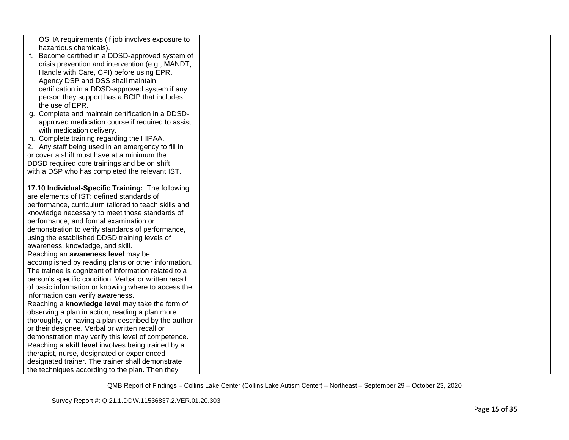| OSHA requirements (if job involves exposure to                                                              |  |
|-------------------------------------------------------------------------------------------------------------|--|
| hazardous chemicals).                                                                                       |  |
| Become certified in a DDSD-approved system of<br>f.                                                         |  |
| crisis prevention and intervention (e.g., MANDT,                                                            |  |
| Handle with Care, CPI) before using EPR.                                                                    |  |
| Agency DSP and DSS shall maintain                                                                           |  |
| certification in a DDSD-approved system if any                                                              |  |
| person they support has a BCIP that includes                                                                |  |
| the use of EPR.                                                                                             |  |
| g. Complete and maintain certification in a DDSD-                                                           |  |
| approved medication course if required to assist                                                            |  |
| with medication delivery.                                                                                   |  |
| h. Complete training regarding the HIPAA.                                                                   |  |
| 2. Any staff being used in an emergency to fill in                                                          |  |
| or cover a shift must have at a minimum the                                                                 |  |
| DDSD required core trainings and be on shift                                                                |  |
| with a DSP who has completed the relevant IST.                                                              |  |
|                                                                                                             |  |
| 17.10 Individual-Specific Training: The following                                                           |  |
| are elements of IST: defined standards of                                                                   |  |
| performance, curriculum tailored to teach skills and                                                        |  |
| knowledge necessary to meet those standards of                                                              |  |
| performance, and formal examination or                                                                      |  |
| demonstration to verify standards of performance,                                                           |  |
| using the established DDSD training levels of                                                               |  |
| awareness, knowledge, and skill.                                                                            |  |
| Reaching an awareness level may be                                                                          |  |
| accomplished by reading plans or other information.<br>The trainee is cognizant of information related to a |  |
| person's specific condition. Verbal or written recall                                                       |  |
| of basic information or knowing where to access the                                                         |  |
| information can verify awareness.                                                                           |  |
| Reaching a knowledge level may take the form of                                                             |  |
| observing a plan in action, reading a plan more                                                             |  |
| thoroughly, or having a plan described by the author                                                        |  |
| or their designee. Verbal or written recall or                                                              |  |
| demonstration may verify this level of competence.                                                          |  |
| Reaching a skill level involves being trained by a                                                          |  |
| therapist, nurse, designated or experienced                                                                 |  |
| designated trainer. The trainer shall demonstrate                                                           |  |
| the techniques according to the plan. Then they                                                             |  |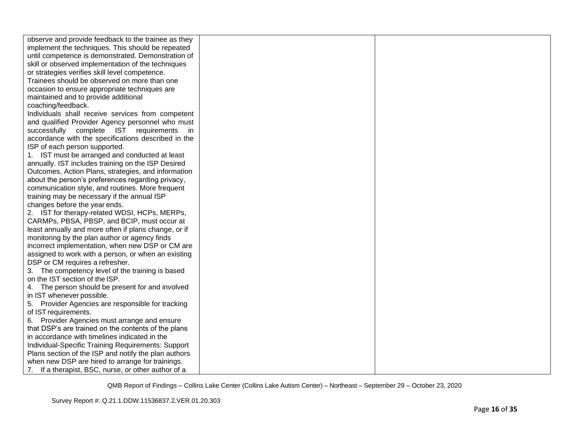| observe and provide feedback to the trainee as they  |  |
|------------------------------------------------------|--|
| implement the techniques. This should be repeated    |  |
| until competence is demonstrated. Demonstration of   |  |
| skill or observed implementation of the techniques   |  |
| or strategies verifies skill level competence.       |  |
| Trainees should be observed on more than one         |  |
| occasion to ensure appropriate techniques are        |  |
| maintained and to provide additional                 |  |
| coaching/feedback.                                   |  |
| Individuals shall receive services from competent    |  |
| and qualified Provider Agency personnel who must     |  |
| successfully complete IST requirements<br>in.        |  |
| accordance with the specifications described in the  |  |
| ISP of each person supported.                        |  |
| 1. IST must be arranged and conducted at least       |  |
| annually. IST includes training on the ISP Desired   |  |
| Outcomes, Action Plans, strategies, and information  |  |
| about the person's preferences regarding privacy,    |  |
| communication style, and routines. More frequent     |  |
| training may be necessary if the annual ISP          |  |
| changes before the year ends.                        |  |
| 2. IST for therapy-related WDSI, HCPs, MERPs,        |  |
| CARMPs, PBSA, PBSP, and BCIP, must occur at          |  |
| least annually and more often if plans change, or if |  |
| monitoring by the plan author or agency finds        |  |
| incorrect implementation, when new DSP or CM are     |  |
| assigned to work with a person, or when an existing  |  |
| DSP or CM requires a refresher.                      |  |
| 3. The competency level of the training is based     |  |
| on the IST section of the ISP.                       |  |
| 4. The person should be present for and involved     |  |
| in IST whenever possible.                            |  |
| 5. Provider Agencies are responsible for tracking    |  |
| of IST requirements.                                 |  |
| 6. Provider Agencies must arrange and ensure         |  |
| that DSP's are trained on the contents of the plans  |  |
| in accordance with timelines indicated in the        |  |
| Individual-Specific Training Requirements: Support   |  |
| Plans section of the ISP and notify the plan authors |  |
| when new DSP are hired to arrange for trainings.     |  |
| 7. If a therapist, BSC, nurse, or other author of a  |  |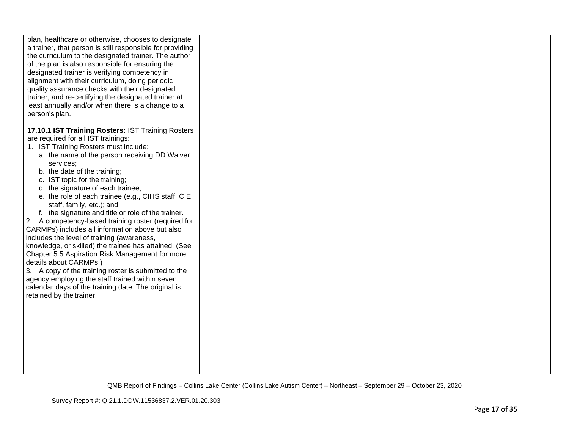| plan, healthcare or otherwise, chooses to designate<br>a trainer, that person is still responsible for providing<br>the curriculum to the designated trainer. The author<br>of the plan is also responsible for ensuring the<br>designated trainer is verifying competency in<br>alignment with their curriculum, doing periodic<br>quality assurance checks with their designated<br>trainer, and re-certifying the designated trainer at<br>least annually and/or when there is a change to a<br>person's plan.                                                                                                                                                                                                                                                                                                                                                                                                                            |  |
|----------------------------------------------------------------------------------------------------------------------------------------------------------------------------------------------------------------------------------------------------------------------------------------------------------------------------------------------------------------------------------------------------------------------------------------------------------------------------------------------------------------------------------------------------------------------------------------------------------------------------------------------------------------------------------------------------------------------------------------------------------------------------------------------------------------------------------------------------------------------------------------------------------------------------------------------|--|
| 17.10.1 IST Training Rosters: IST Training Rosters<br>are required for all IST trainings:<br>1. IST Training Rosters must include:<br>a. the name of the person receiving DD Waiver<br>services:<br>b. the date of the training;<br>c. IST topic for the training;<br>d. the signature of each trainee;<br>e. the role of each trainee (e.g., CIHS staff, CIE<br>staff, family, etc.); and<br>f. the signature and title or role of the trainer.<br>2. A competency-based training roster (required for<br>CARMPs) includes all information above but also<br>includes the level of training (awareness,<br>knowledge, or skilled) the trainee has attained. (See<br>Chapter 5.5 Aspiration Risk Management for more<br>details about CARMPs.)<br>3. A copy of the training roster is submitted to the<br>agency employing the staff trained within seven<br>calendar days of the training date. The original is<br>retained by the trainer. |  |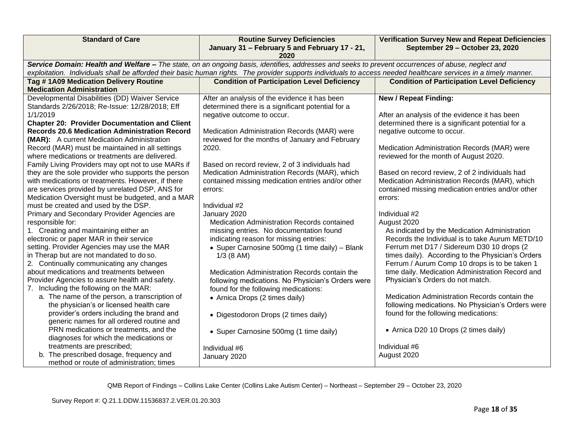| <b>Standard of Care</b>                              | <b>Routine Survey Deficiencies</b><br>January 31 - February 5 and February 17 - 21,                                                                              | <b>Verification Survey New and Repeat Deficiencies</b><br>September 29 - October 23, 2020 |  |  |
|------------------------------------------------------|------------------------------------------------------------------------------------------------------------------------------------------------------------------|-------------------------------------------------------------------------------------------|--|--|
|                                                      | 2020                                                                                                                                                             |                                                                                           |  |  |
|                                                      | Service Domain: Health and Welfare - The state, on an ongoing basis, identifies, addresses and seeks to prevent occurrences of abuse, neglect and                |                                                                                           |  |  |
|                                                      | exploitation. Individuals shall be afforded their basic human rights. The provider supports individuals to access needed healthcare services in a timely manner. |                                                                                           |  |  |
| Tag #1A09 Medication Delivery Routine                | <b>Condition of Participation Level Deficiency</b>                                                                                                               | <b>Condition of Participation Level Deficiency</b>                                        |  |  |
| <b>Medication Administration</b>                     |                                                                                                                                                                  |                                                                                           |  |  |
| Developmental Disabilities (DD) Waiver Service       | After an analysis of the evidence it has been                                                                                                                    | <b>New / Repeat Finding:</b>                                                              |  |  |
| Standards 2/26/2018; Re-Issue: 12/28/2018; Eff       | determined there is a significant potential for a                                                                                                                |                                                                                           |  |  |
| 1/1/2019                                             | negative outcome to occur.                                                                                                                                       | After an analysis of the evidence it has been                                             |  |  |
| <b>Chapter 20: Provider Documentation and Client</b> |                                                                                                                                                                  | determined there is a significant potential for a                                         |  |  |
| <b>Records 20.6 Medication Administration Record</b> | Medication Administration Records (MAR) were                                                                                                                     | negative outcome to occur.                                                                |  |  |
| (MAR): A current Medication Administration           | reviewed for the months of January and February                                                                                                                  |                                                                                           |  |  |
| Record (MAR) must be maintained in all settings      | 2020.                                                                                                                                                            | Medication Administration Records (MAR) were                                              |  |  |
| where medications or treatments are delivered.       |                                                                                                                                                                  | reviewed for the month of August 2020.                                                    |  |  |
| Family Living Providers may opt not to use MARs if   | Based on record review, 2 of 3 individuals had                                                                                                                   |                                                                                           |  |  |
| they are the sole provider who supports the person   | Medication Administration Records (MAR), which                                                                                                                   | Based on record review, 2 of 2 individuals had                                            |  |  |
| with medications or treatments. However, if there    | contained missing medication entries and/or other                                                                                                                | Medication Administration Records (MAR), which                                            |  |  |
| are services provided by unrelated DSP, ANS for      | errors:                                                                                                                                                          | contained missing medication entries and/or other                                         |  |  |
| Medication Oversight must be budgeted, and a MAR     |                                                                                                                                                                  | errors:                                                                                   |  |  |
| must be created and used by the DSP.                 | Individual #2                                                                                                                                                    |                                                                                           |  |  |
| Primary and Secondary Provider Agencies are          | January 2020                                                                                                                                                     | Individual #2                                                                             |  |  |
| responsible for:                                     | Medication Administration Records contained                                                                                                                      | August 2020                                                                               |  |  |
| 1. Creating and maintaining either an                | missing entries. No documentation found                                                                                                                          | As indicated by the Medication Administration                                             |  |  |
| electronic or paper MAR in their service             | indicating reason for missing entries:                                                                                                                           | Records the Individual is to take Aurum METD/10                                           |  |  |
| setting. Provider Agencies may use the MAR           | • Super Carnosine 500mg (1 time daily) - Blank                                                                                                                   | Ferrum met D17 / Sidereum D30 10 drops (2                                                 |  |  |
| in Therap but are not mandated to do so.             | $1/3$ (8 AM)                                                                                                                                                     | times daily). According to the Physician's Orders                                         |  |  |
| 2. Continually communicating any changes             |                                                                                                                                                                  | Ferrum / Aurum Comp 10 drops is to be taken 1                                             |  |  |
| about medications and treatments between             | Medication Administration Records contain the                                                                                                                    | time daily. Medication Administration Record and                                          |  |  |
| Provider Agencies to assure health and safety.       | following medications. No Physician's Orders were                                                                                                                | Physician's Orders do not match.                                                          |  |  |
| 7. Including the following on the MAR:               | found for the following medications:                                                                                                                             |                                                                                           |  |  |
| a. The name of the person, a transcription of        | • Arnica Drops (2 times daily)                                                                                                                                   | Medication Administration Records contain the                                             |  |  |
| the physician's or licensed health care              |                                                                                                                                                                  | following medications. No Physician's Orders were                                         |  |  |
| provider's orders including the brand and            | • Digestodoron Drops (2 times daily)                                                                                                                             | found for the following medications:                                                      |  |  |
| generic names for all ordered routine and            |                                                                                                                                                                  |                                                                                           |  |  |
| PRN medications or treatments, and the               | • Super Carnosine 500mg (1 time daily)                                                                                                                           | • Arnica D20 10 Drops (2 times daily)                                                     |  |  |
| diagnoses for which the medications or               |                                                                                                                                                                  |                                                                                           |  |  |
| treatments are prescribed;                           | Individual #6                                                                                                                                                    | Individual #6                                                                             |  |  |
| b. The prescribed dosage, frequency and              | January 2020                                                                                                                                                     | August 2020                                                                               |  |  |
| method or route of administration; times             |                                                                                                                                                                  |                                                                                           |  |  |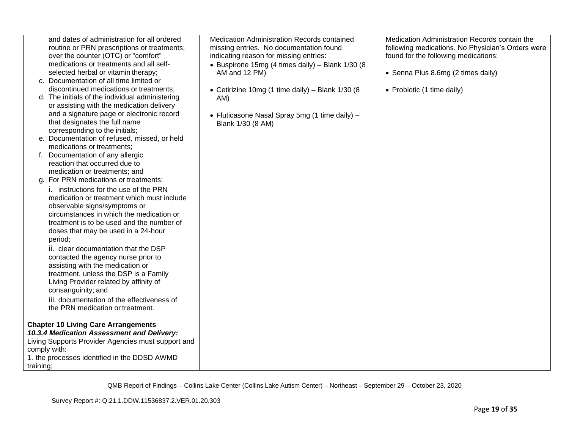| and dates of administration for all ordered<br>routine or PRN prescriptions or treatments;<br>over the counter (OTC) or "comfort"<br>medications or treatments and all self-<br>selected herbal or vitamin therapy;<br>c. Documentation of all time limited or<br>discontinued medications or treatments;<br>d. The initials of the individual administering<br>or assisting with the medication delivery<br>and a signature page or electronic record<br>that designates the full name<br>corresponding to the initials;<br>e. Documentation of refused, missed, or held<br>medications or treatments;<br>Documentation of any allergic<br>reaction that occurred due to<br>medication or treatments; and<br>g. For PRN medications or treatments:<br><i>i.</i> instructions for the use of the PRN<br>medication or treatment which must include<br>observable signs/symptoms or<br>circumstances in which the medication or<br>treatment is to be used and the number of<br>doses that may be used in a 24-hour<br>period;<br>ii. clear documentation that the DSP<br>contacted the agency nurse prior to<br>assisting with the medication or<br>treatment, unless the DSP is a Family<br>Living Provider related by affinity of<br>consanguinity; and<br>iii. documentation of the effectiveness of<br>the PRN medication or treatment. | Medication Administration Records contained<br>missing entries. No documentation found<br>indicating reason for missing entries:<br>• Buspirone 15mg (4 times daily) - Blank 1/30 (8<br>AM and 12 PM)<br>• Cetirizine 10mg (1 time daily) - Blank 1/30 (8<br>AM)<br>• Fluticasone Nasal Spray 5mg (1 time daily) -<br>Blank 1/30 (8 AM) | Medication Administration Records contain the<br>following medications. No Physician's Orders were<br>found for the following medications:<br>• Senna Plus 8.6mg (2 times daily)<br>• Probiotic (1 time daily) |
|---------------------------------------------------------------------------------------------------------------------------------------------------------------------------------------------------------------------------------------------------------------------------------------------------------------------------------------------------------------------------------------------------------------------------------------------------------------------------------------------------------------------------------------------------------------------------------------------------------------------------------------------------------------------------------------------------------------------------------------------------------------------------------------------------------------------------------------------------------------------------------------------------------------------------------------------------------------------------------------------------------------------------------------------------------------------------------------------------------------------------------------------------------------------------------------------------------------------------------------------------------------------------------------------------------------------------------------------|-----------------------------------------------------------------------------------------------------------------------------------------------------------------------------------------------------------------------------------------------------------------------------------------------------------------------------------------|----------------------------------------------------------------------------------------------------------------------------------------------------------------------------------------------------------------|
| <b>Chapter 10 Living Care Arrangements</b>                                                                                                                                                                                                                                                                                                                                                                                                                                                                                                                                                                                                                                                                                                                                                                                                                                                                                                                                                                                                                                                                                                                                                                                                                                                                                                  |                                                                                                                                                                                                                                                                                                                                         |                                                                                                                                                                                                                |
| 10.3.4 Medication Assessment and Delivery:<br>Living Supports Provider Agencies must support and                                                                                                                                                                                                                                                                                                                                                                                                                                                                                                                                                                                                                                                                                                                                                                                                                                                                                                                                                                                                                                                                                                                                                                                                                                            |                                                                                                                                                                                                                                                                                                                                         |                                                                                                                                                                                                                |
| comply with:                                                                                                                                                                                                                                                                                                                                                                                                                                                                                                                                                                                                                                                                                                                                                                                                                                                                                                                                                                                                                                                                                                                                                                                                                                                                                                                                |                                                                                                                                                                                                                                                                                                                                         |                                                                                                                                                                                                                |
| 1. the processes identified in the DDSD AWMD<br>training;                                                                                                                                                                                                                                                                                                                                                                                                                                                                                                                                                                                                                                                                                                                                                                                                                                                                                                                                                                                                                                                                                                                                                                                                                                                                                   |                                                                                                                                                                                                                                                                                                                                         |                                                                                                                                                                                                                |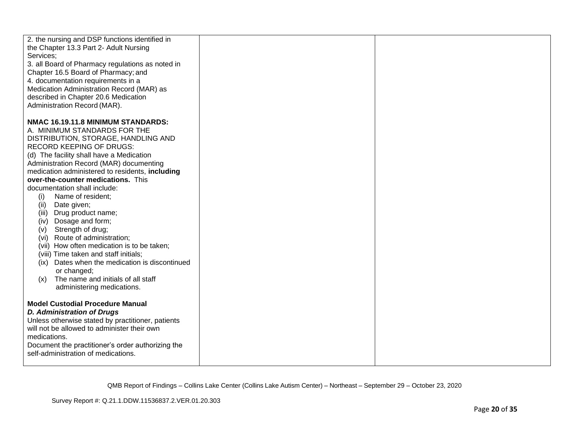| 2. the nursing and DSP functions identified in    |  |
|---------------------------------------------------|--|
| the Chapter 13.3 Part 2- Adult Nursing            |  |
| Services;                                         |  |
| 3. all Board of Pharmacy regulations as noted in  |  |
| Chapter 16.5 Board of Pharmacy; and               |  |
| 4. documentation requirements in a                |  |
| Medication Administration Record (MAR) as         |  |
| described in Chapter 20.6 Medication              |  |
| Administration Record (MAR).                      |  |
| NMAC 16.19.11.8 MINIMUM STANDARDS:                |  |
| A. MINIMUM STANDARDS FOR THE                      |  |
| DISTRIBUTION, STORAGE, HANDLING AND               |  |
| <b>RECORD KEEPING OF DRUGS:</b>                   |  |
| (d) The facility shall have a Medication          |  |
| Administration Record (MAR) documenting           |  |
| medication administered to residents, including   |  |
| over-the-counter medications. This                |  |
| documentation shall include:                      |  |
| Name of resident;<br>(i)                          |  |
| Date given;<br>(ii)                               |  |
| Drug product name;<br>(iii)                       |  |
| Dosage and form;<br>(iv)                          |  |
| Strength of drug;<br>(v)                          |  |
| (vi) Route of administration;                     |  |
| (vii) How often medication is to be taken;        |  |
| (viii) Time taken and staff initials;             |  |
| (ix) Dates when the medication is discontinued    |  |
| or changed;<br>The name and initials of all staff |  |
| (x)<br>administering medications.                 |  |
|                                                   |  |
| <b>Model Custodial Procedure Manual</b>           |  |
| <b>D. Administration of Drugs</b>                 |  |
| Unless otherwise stated by practitioner, patients |  |
| will not be allowed to administer their own       |  |
| medications.                                      |  |
| Document the practitioner's order authorizing the |  |
| self-administration of medications.               |  |
|                                                   |  |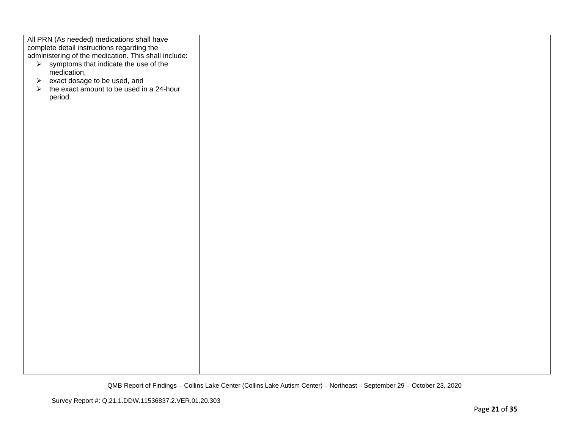| All PRN (As needed) medications shall have<br>complete detail instructions regarding the<br>administering of the medication. This shall include: |  |
|--------------------------------------------------------------------------------------------------------------------------------------------------|--|
|                                                                                                                                                  |  |
|                                                                                                                                                  |  |
|                                                                                                                                                  |  |
| $\triangleright$ symptoms that indicate the use of the                                                                                           |  |
| medication,                                                                                                                                      |  |
|                                                                                                                                                  |  |
| $\triangleright$ exact dosage to be used, and                                                                                                    |  |
|                                                                                                                                                  |  |
| the exact amount to be used in a 24-hour<br>$\blacktriangleright$                                                                                |  |
|                                                                                                                                                  |  |
| period.                                                                                                                                          |  |
|                                                                                                                                                  |  |
|                                                                                                                                                  |  |
|                                                                                                                                                  |  |
|                                                                                                                                                  |  |
|                                                                                                                                                  |  |
|                                                                                                                                                  |  |
|                                                                                                                                                  |  |
|                                                                                                                                                  |  |
|                                                                                                                                                  |  |
|                                                                                                                                                  |  |
|                                                                                                                                                  |  |
|                                                                                                                                                  |  |
|                                                                                                                                                  |  |
|                                                                                                                                                  |  |
|                                                                                                                                                  |  |
|                                                                                                                                                  |  |
|                                                                                                                                                  |  |
|                                                                                                                                                  |  |
|                                                                                                                                                  |  |
|                                                                                                                                                  |  |
|                                                                                                                                                  |  |
|                                                                                                                                                  |  |
|                                                                                                                                                  |  |
|                                                                                                                                                  |  |
|                                                                                                                                                  |  |
|                                                                                                                                                  |  |
|                                                                                                                                                  |  |
|                                                                                                                                                  |  |
|                                                                                                                                                  |  |
|                                                                                                                                                  |  |
|                                                                                                                                                  |  |
|                                                                                                                                                  |  |
|                                                                                                                                                  |  |
|                                                                                                                                                  |  |
|                                                                                                                                                  |  |
|                                                                                                                                                  |  |
|                                                                                                                                                  |  |
|                                                                                                                                                  |  |
|                                                                                                                                                  |  |
|                                                                                                                                                  |  |
|                                                                                                                                                  |  |
|                                                                                                                                                  |  |
|                                                                                                                                                  |  |
|                                                                                                                                                  |  |
|                                                                                                                                                  |  |
|                                                                                                                                                  |  |
|                                                                                                                                                  |  |
|                                                                                                                                                  |  |
|                                                                                                                                                  |  |
|                                                                                                                                                  |  |
|                                                                                                                                                  |  |
|                                                                                                                                                  |  |
|                                                                                                                                                  |  |
|                                                                                                                                                  |  |
|                                                                                                                                                  |  |
|                                                                                                                                                  |  |
|                                                                                                                                                  |  |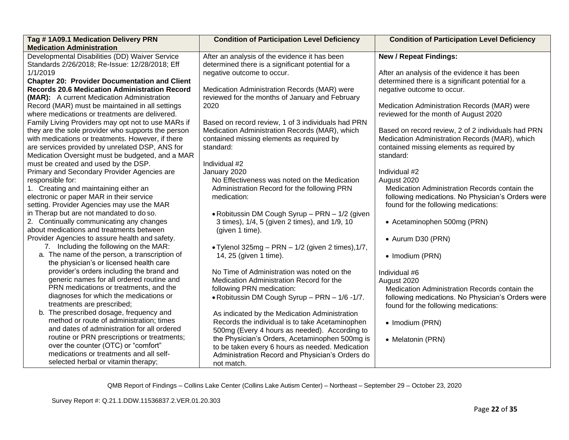| Tag #1A09.1 Medication Delivery PRN<br><b>Medication Administration</b> | <b>Condition of Participation Level Deficiency</b> | <b>Condition of Participation Level Deficiency</b> |
|-------------------------------------------------------------------------|----------------------------------------------------|----------------------------------------------------|
| Developmental Disabilities (DD) Waiver Service                          | After an analysis of the evidence it has been      | <b>New / Repeat Findings:</b>                      |
| Standards 2/26/2018; Re-Issue: 12/28/2018; Eff                          | determined there is a significant potential for a  |                                                    |
| 1/1/2019                                                                | negative outcome to occur.                         | After an analysis of the evidence it has been      |
| <b>Chapter 20: Provider Documentation and Client</b>                    |                                                    | determined there is a significant potential for a  |
| <b>Records 20.6 Medication Administration Record</b>                    | Medication Administration Records (MAR) were       | negative outcome to occur.                         |
| (MAR): A current Medication Administration                              | reviewed for the months of January and February    |                                                    |
| Record (MAR) must be maintained in all settings                         | 2020                                               | Medication Administration Records (MAR) were       |
| where medications or treatments are delivered.                          |                                                    | reviewed for the month of August 2020              |
| Family Living Providers may opt not to use MARs if                      | Based on record review, 1 of 3 individuals had PRN |                                                    |
| they are the sole provider who supports the person                      | Medication Administration Records (MAR), which     | Based on record review, 2 of 2 individuals had PRN |
| with medications or treatments. However, if there                       | contained missing elements as required by          | Medication Administration Records (MAR), which     |
| are services provided by unrelated DSP, ANS for                         | standard:                                          | contained missing elements as required by          |
| Medication Oversight must be budgeted, and a MAR                        |                                                    | standard:                                          |
| must be created and used by the DSP.                                    | Individual #2                                      |                                                    |
| Primary and Secondary Provider Agencies are                             | January 2020                                       | Individual #2                                      |
| responsible for:                                                        | No Effectiveness was noted on the Medication       | August 2020                                        |
| 1. Creating and maintaining either an                                   | Administration Record for the following PRN        | Medication Administration Records contain the      |
| electronic or paper MAR in their service                                | medication:                                        | following medications. No Physician's Orders were  |
| setting. Provider Agencies may use the MAR                              |                                                    | found for the following medications:               |
| in Therap but are not mandated to do so.                                | • Robitussin DM Cough Syrup - PRN - 1/2 (given     |                                                    |
| 2. Continually communicating any changes                                | 3 times), 1/4, 5 (given 2 times), and 1/9, 10      | • Acetaminophen 500mg (PRN)                        |
| about medications and treatments between                                | (given 1 time).                                    |                                                    |
| Provider Agencies to assure health and safety.                          |                                                    | • Aurum D30 (PRN)                                  |
| 7. Including the following on the MAR:                                  | . Tylenol 325mg - PRN - 1/2 (given 2 times), 1/7,  |                                                    |
| a. The name of the person, a transcription of                           | 14, 25 (given 1 time).                             | • Imodium (PRN)                                    |
| the physician's or licensed health care                                 |                                                    |                                                    |
| provider's orders including the brand and                               | No Time of Administration was noted on the         | Individual #6                                      |
| generic names for all ordered routine and                               | Medication Administration Record for the           | August 2020                                        |
| PRN medications or treatments, and the                                  | following PRN medication:                          | Medication Administration Records contain the      |
| diagnoses for which the medications or                                  | . Robitussin DM Cough Syrup - PRN - 1/6 -1/7.      | following medications. No Physician's Orders were  |
| treatments are prescribed;                                              |                                                    | found for the following medications:               |
| b. The prescribed dosage, frequency and                                 | As indicated by the Medication Administration      |                                                    |
| method or route of administration; times                                | Records the individual is to take Acetaminophen    | • Imodium (PRN)                                    |
| and dates of administration for all ordered                             | 500mg (Every 4 hours as needed). According to      |                                                    |
| routine or PRN prescriptions or treatments;                             | the Physician's Orders, Acetaminophen 500mg is     | • Melatonin (PRN)                                  |
| over the counter (OTC) or "comfort"                                     | to be taken every 6 hours as needed. Medication    |                                                    |
| medications or treatments and all self-                                 | Administration Record and Physician's Orders do    |                                                    |
| selected herbal or vitamin therapy;                                     | not match.                                         |                                                    |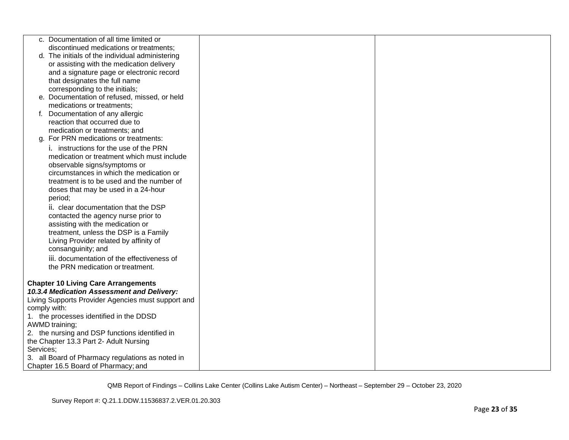| c. Documentation of all time limited or            |  |
|----------------------------------------------------|--|
| discontinued medications or treatments;            |  |
| d. The initials of the individual administering    |  |
| or assisting with the medication delivery          |  |
| and a signature page or electronic record          |  |
| that designates the full name                      |  |
| corresponding to the initials;                     |  |
| e. Documentation of refused, missed, or held       |  |
| medications or treatments;                         |  |
| f. Documentation of any allergic                   |  |
| reaction that occurred due to                      |  |
| medication or treatments; and                      |  |
| g. For PRN medications or treatments:              |  |
| i. instructions for the use of the PRN             |  |
| medication or treatment which must include         |  |
| observable signs/symptoms or                       |  |
| circumstances in which the medication or           |  |
| treatment is to be used and the number of          |  |
| doses that may be used in a 24-hour                |  |
| period;                                            |  |
| ii. clear documentation that the DSP               |  |
| contacted the agency nurse prior to                |  |
| assisting with the medication or                   |  |
| treatment, unless the DSP is a Family              |  |
| Living Provider related by affinity of             |  |
| consanguinity; and                                 |  |
| iii. documentation of the effectiveness of         |  |
| the PRN medication or treatment.                   |  |
|                                                    |  |
| <b>Chapter 10 Living Care Arrangements</b>         |  |
| 10.3.4 Medication Assessment and Delivery:         |  |
| Living Supports Provider Agencies must support and |  |
| comply with:                                       |  |
| 1. the processes identified in the DDSD            |  |
| AWMD training;                                     |  |
| 2. the nursing and DSP functions identified in     |  |
| the Chapter 13.3 Part 2- Adult Nursing             |  |
| Services;                                          |  |
| 3. all Board of Pharmacy regulations as noted in   |  |
| Chapter 16.5 Board of Pharmacy; and                |  |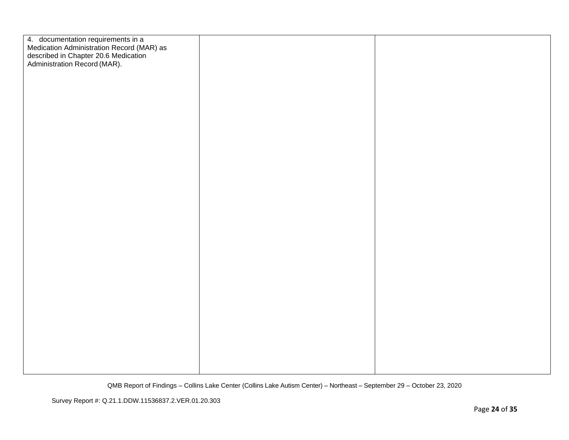| 4. documentation requirements in a<br>Medication Administration Record (MAR) as<br>described in Chapter 20.6 Medication<br>Administration Record (MAR). |  |
|---------------------------------------------------------------------------------------------------------------------------------------------------------|--|
|                                                                                                                                                         |  |
|                                                                                                                                                         |  |
|                                                                                                                                                         |  |
|                                                                                                                                                         |  |
|                                                                                                                                                         |  |
|                                                                                                                                                         |  |
|                                                                                                                                                         |  |
|                                                                                                                                                         |  |
|                                                                                                                                                         |  |
|                                                                                                                                                         |  |
|                                                                                                                                                         |  |
|                                                                                                                                                         |  |
|                                                                                                                                                         |  |
|                                                                                                                                                         |  |
|                                                                                                                                                         |  |
|                                                                                                                                                         |  |
|                                                                                                                                                         |  |
|                                                                                                                                                         |  |
|                                                                                                                                                         |  |
|                                                                                                                                                         |  |
|                                                                                                                                                         |  |
|                                                                                                                                                         |  |
|                                                                                                                                                         |  |
|                                                                                                                                                         |  |
|                                                                                                                                                         |  |
|                                                                                                                                                         |  |
|                                                                                                                                                         |  |
|                                                                                                                                                         |  |
|                                                                                                                                                         |  |
|                                                                                                                                                         |  |
|                                                                                                                                                         |  |
|                                                                                                                                                         |  |
|                                                                                                                                                         |  |
|                                                                                                                                                         |  |
|                                                                                                                                                         |  |
|                                                                                                                                                         |  |
|                                                                                                                                                         |  |
|                                                                                                                                                         |  |
|                                                                                                                                                         |  |
|                                                                                                                                                         |  |
|                                                                                                                                                         |  |
|                                                                                                                                                         |  |
|                                                                                                                                                         |  |
|                                                                                                                                                         |  |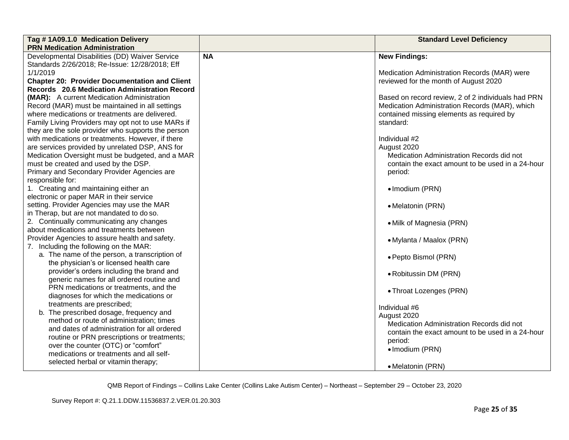| Tag #1A09.1.0 Medication Delivery                    |           | <b>Standard Level Deficiency</b>                   |
|------------------------------------------------------|-----------|----------------------------------------------------|
| <b>PRN Medication Administration</b>                 |           |                                                    |
| Developmental Disabilities (DD) Waiver Service       | <b>NA</b> | <b>New Findings:</b>                               |
| Standards 2/26/2018; Re-Issue: 12/28/2018; Eff       |           |                                                    |
| 1/1/2019                                             |           | Medication Administration Records (MAR) were       |
| <b>Chapter 20: Provider Documentation and Client</b> |           | reviewed for the month of August 2020              |
| Records 20.6 Medication Administration Record        |           |                                                    |
| (MAR): A current Medication Administration           |           | Based on record review, 2 of 2 individuals had PRN |
| Record (MAR) must be maintained in all settings      |           | Medication Administration Records (MAR), which     |
| where medications or treatments are delivered.       |           | contained missing elements as required by          |
| Family Living Providers may opt not to use MARs if   |           | standard:                                          |
| they are the sole provider who supports the person   |           |                                                    |
| with medications or treatments. However, if there    |           | Individual #2                                      |
| are services provided by unrelated DSP, ANS for      |           | August 2020                                        |
| Medication Oversight must be budgeted, and a MAR     |           | Medication Administration Records did not          |
| must be created and used by the DSP.                 |           | contain the exact amount to be used in a 24-hour   |
| Primary and Secondary Provider Agencies are          |           | period:                                            |
| responsible for:                                     |           |                                                    |
| 1. Creating and maintaining either an                |           | • Imodium (PRN)                                    |
| electronic or paper MAR in their service             |           |                                                    |
| setting. Provider Agencies may use the MAR           |           | • Melatonin (PRN)                                  |
| in Therap, but are not mandated to do so.            |           |                                                    |
| 2. Continually communicating any changes             |           | • Milk of Magnesia (PRN)                           |
| about medications and treatments between             |           |                                                    |
| Provider Agencies to assure health and safety.       |           | • Mylanta / Maalox (PRN)                           |
| 7. Including the following on the MAR:               |           |                                                    |
| a. The name of the person, a transcription of        |           | • Pepto Bismol (PRN)                               |
| the physician's or licensed health care              |           |                                                    |
| provider's orders including the brand and            |           | • Robitussin DM (PRN)                              |
| generic names for all ordered routine and            |           |                                                    |
| PRN medications or treatments, and the               |           | • Throat Lozenges (PRN)                            |
| diagnoses for which the medications or               |           |                                                    |
| treatments are prescribed;                           |           | Individual #6                                      |
| b. The prescribed dosage, frequency and              |           | August 2020                                        |
| method or route of administration; times             |           | Medication Administration Records did not          |
| and dates of administration for all ordered          |           | contain the exact amount to be used in a 24-hour   |
| routine or PRN prescriptions or treatments;          |           | period:                                            |
| over the counter (OTC) or "comfort"                  |           | • Imodium (PRN)                                    |
| medications or treatments and all self-              |           |                                                    |
| selected herbal or vitamin therapy;                  |           | • Melatonin (PRN)                                  |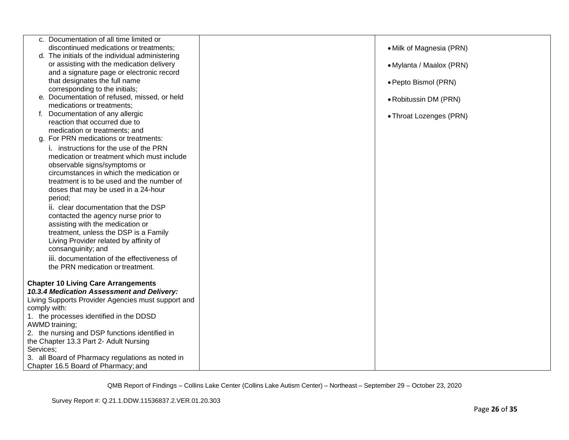|              | c. Documentation of all time limited or                                    |                          |
|--------------|----------------------------------------------------------------------------|--------------------------|
|              | discontinued medications or treatments;                                    | • Milk of Magnesia (PRN) |
|              | d. The initials of the individual administering                            |                          |
|              | or assisting with the medication delivery                                  | • Mylanta / Maalox (PRN) |
|              | and a signature page or electronic record<br>that designates the full name |                          |
|              | corresponding to the initials;                                             | · Pepto Bismol (PRN)     |
|              | e. Documentation of refused, missed, or held                               |                          |
|              | medications or treatments;                                                 | • Robitussin DM (PRN)    |
|              | f. Documentation of any allergic                                           | • Throat Lozenges (PRN)  |
|              | reaction that occurred due to                                              |                          |
|              | medication or treatments; and                                              |                          |
|              | g. For PRN medications or treatments:                                      |                          |
|              | i. instructions for the use of the PRN                                     |                          |
|              | medication or treatment which must include                                 |                          |
|              | observable signs/symptoms or                                               |                          |
|              | circumstances in which the medication or                                   |                          |
|              | treatment is to be used and the number of                                  |                          |
|              | doses that may be used in a 24-hour                                        |                          |
|              | period;                                                                    |                          |
|              | ii. clear documentation that the DSP                                       |                          |
|              | contacted the agency nurse prior to                                        |                          |
|              | assisting with the medication or                                           |                          |
|              | treatment, unless the DSP is a Family                                      |                          |
|              | Living Provider related by affinity of<br>consanguinity; and               |                          |
|              | iii. documentation of the effectiveness of                                 |                          |
|              | the PRN medication or treatment.                                           |                          |
|              |                                                                            |                          |
|              | <b>Chapter 10 Living Care Arrangements</b>                                 |                          |
|              | 10.3.4 Medication Assessment and Delivery:                                 |                          |
|              | Living Supports Provider Agencies must support and                         |                          |
| comply with: |                                                                            |                          |
|              | 1. the processes identified in the DDSD                                    |                          |
|              | <b>AWMD</b> training;                                                      |                          |
|              | 2. the nursing and DSP functions identified in                             |                          |
|              | the Chapter 13.3 Part 2- Adult Nursing                                     |                          |
| Services:    |                                                                            |                          |
|              | 3. all Board of Pharmacy regulations as noted in                           |                          |
|              | Chapter 16.5 Board of Pharmacy; and                                        |                          |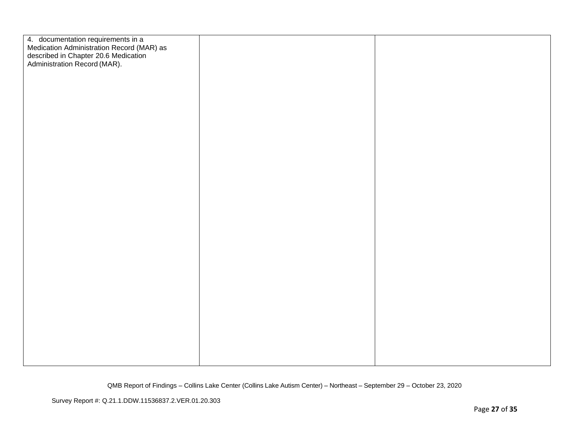| 4. documentation requirements in a<br>Medication Administration Record (MAR) as<br>described in Chapter 20.6 Medication<br>Administration Record (MAR). |  |
|---------------------------------------------------------------------------------------------------------------------------------------------------------|--|
|                                                                                                                                                         |  |
|                                                                                                                                                         |  |
|                                                                                                                                                         |  |
|                                                                                                                                                         |  |
|                                                                                                                                                         |  |
|                                                                                                                                                         |  |
|                                                                                                                                                         |  |
|                                                                                                                                                         |  |
|                                                                                                                                                         |  |
|                                                                                                                                                         |  |
|                                                                                                                                                         |  |
|                                                                                                                                                         |  |
|                                                                                                                                                         |  |
|                                                                                                                                                         |  |
|                                                                                                                                                         |  |
|                                                                                                                                                         |  |
|                                                                                                                                                         |  |
|                                                                                                                                                         |  |
|                                                                                                                                                         |  |
|                                                                                                                                                         |  |
|                                                                                                                                                         |  |
|                                                                                                                                                         |  |
|                                                                                                                                                         |  |
|                                                                                                                                                         |  |
|                                                                                                                                                         |  |
|                                                                                                                                                         |  |
|                                                                                                                                                         |  |
|                                                                                                                                                         |  |
|                                                                                                                                                         |  |
|                                                                                                                                                         |  |
|                                                                                                                                                         |  |
|                                                                                                                                                         |  |
|                                                                                                                                                         |  |
|                                                                                                                                                         |  |
|                                                                                                                                                         |  |
|                                                                                                                                                         |  |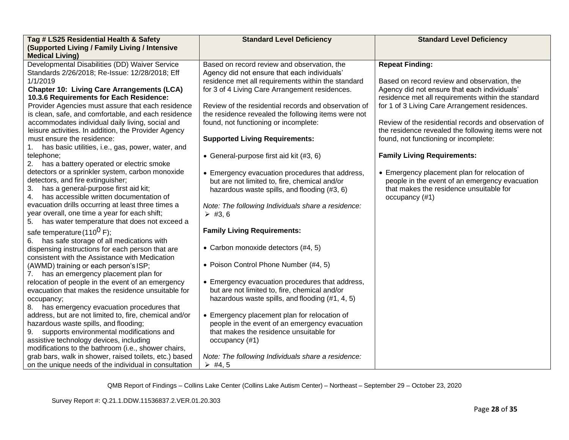| Tag # LS25 Residential Health & Safety                                                                  | <b>Standard Level Deficiency</b>                                                               | <b>Standard Level Deficiency</b>                                                               |
|---------------------------------------------------------------------------------------------------------|------------------------------------------------------------------------------------------------|------------------------------------------------------------------------------------------------|
| (Supported Living / Family Living / Intensive                                                           |                                                                                                |                                                                                                |
| <b>Medical Living)</b>                                                                                  |                                                                                                |                                                                                                |
| Developmental Disabilities (DD) Waiver Service                                                          | Based on record review and observation, the                                                    | <b>Repeat Finding:</b>                                                                         |
| Standards 2/26/2018; Re-Issue: 12/28/2018; Eff<br>1/1/2019                                              | Agency did not ensure that each individuals'                                                   |                                                                                                |
|                                                                                                         | residence met all requirements within the standard                                             | Based on record review and observation, the                                                    |
| <b>Chapter 10: Living Care Arrangements (LCA)</b>                                                       | for 3 of 4 Living Care Arrangement residences.                                                 | Agency did not ensure that each individuals'                                                   |
| 10.3.6 Requirements for Each Residence:                                                                 | Review of the residential records and observation of                                           | residence met all requirements within the standard                                             |
| Provider Agencies must assure that each residence                                                       |                                                                                                | for 1 of 3 Living Care Arrangement residences.                                                 |
| is clean, safe, and comfortable, and each residence<br>accommodates individual daily living, social and | the residence revealed the following items were not<br>found, not functioning or incomplete:   | Review of the residential records and observation of                                           |
| leisure activities. In addition, the Provider Agency                                                    |                                                                                                | the residence revealed the following items were not                                            |
| must ensure the residence:                                                                              | <b>Supported Living Requirements:</b>                                                          | found, not functioning or incomplete:                                                          |
|                                                                                                         |                                                                                                |                                                                                                |
| has basic utilities, i.e., gas, power, water, and<br>telephone;                                         |                                                                                                | <b>Family Living Requirements:</b>                                                             |
| 2. has a battery operated or electric smoke                                                             | • General-purpose first aid kit (#3, 6)                                                        |                                                                                                |
| detectors or a sprinkler system, carbon monoxide                                                        |                                                                                                |                                                                                                |
| detectors, and fire extinguisher;                                                                       | • Emergency evacuation procedures that address,                                                | • Emergency placement plan for relocation of<br>people in the event of an emergency evacuation |
| 3.<br>has a general-purpose first aid kit;                                                              | but are not limited to, fire, chemical and/or<br>hazardous waste spills, and flooding (#3, 6)  | that makes the residence unsuitable for                                                        |
| has accessible written documentation of<br>4.                                                           |                                                                                                | occupancy (#1)                                                                                 |
| evacuation drills occurring at least three times a                                                      |                                                                                                |                                                                                                |
| year overall, one time a year for each shift;                                                           | Note: The following Individuals share a residence:<br>$\triangleright$ #3, 6                   |                                                                                                |
| 5.<br>has water temperature that does not exceed a                                                      |                                                                                                |                                                                                                |
|                                                                                                         | <b>Family Living Requirements:</b>                                                             |                                                                                                |
| safe temperature (110 <sup>0</sup> F);                                                                  |                                                                                                |                                                                                                |
| has safe storage of all medications with<br>6.                                                          | • Carbon monoxide detectors (#4, 5)                                                            |                                                                                                |
| dispensing instructions for each person that are                                                        |                                                                                                |                                                                                                |
| consistent with the Assistance with Medication                                                          |                                                                                                |                                                                                                |
| (AWMD) training or each person's ISP;                                                                   | • Poison Control Phone Number (#4, 5)                                                          |                                                                                                |
| has an emergency placement plan for<br>7.                                                               |                                                                                                |                                                                                                |
| relocation of people in the event of an emergency                                                       | • Emergency evacuation procedures that address,                                                |                                                                                                |
| evacuation that makes the residence unsuitable for                                                      | but are not limited to, fire, chemical and/or                                                  |                                                                                                |
| occupancy;                                                                                              | hazardous waste spills, and flooding (#1, 4, 5)                                                |                                                                                                |
| has emergency evacuation procedures that<br>8.                                                          |                                                                                                |                                                                                                |
| address, but are not limited to, fire, chemical and/or                                                  | • Emergency placement plan for relocation of<br>people in the event of an emergency evacuation |                                                                                                |
| hazardous waste spills, and flooding;                                                                   | that makes the residence unsuitable for                                                        |                                                                                                |
| supports environmental modifications and<br>9.                                                          |                                                                                                |                                                                                                |
| assistive technology devices, including<br>modifications to the bathroom (i.e., shower chairs,          | occupancy (#1)                                                                                 |                                                                                                |
| grab bars, walk in shower, raised toilets, etc.) based                                                  | Note: The following Individuals share a residence:                                             |                                                                                                |
| on the unique needs of the individual in consultation                                                   | $\triangleright$ #4, 5                                                                         |                                                                                                |
|                                                                                                         |                                                                                                |                                                                                                |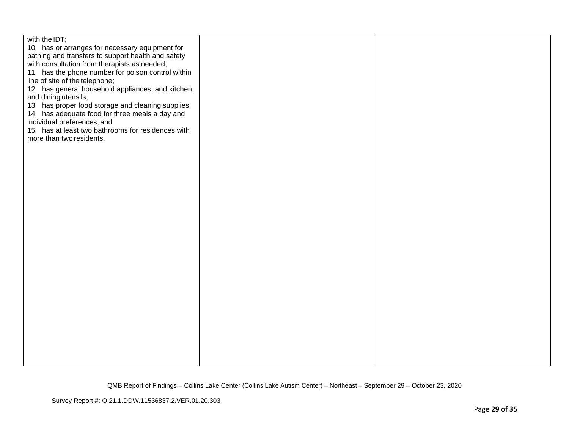| with the IDT;<br>10. has or arranges for necessary equipment for<br>bathing and transfers to support health and safety<br>with consultation from therapists as needed;<br>11. has the phone number for poison control within<br>line of site of the telephone;<br>12. has general household appliances, and kitchen<br>and dining utensils;<br>13. has proper food storage and cleaning supplies;<br>14. has adequate food for three meals a day and<br>individual preferences; and<br>15. has at least two bathrooms for residences with<br>more than two residents. |  |
|-----------------------------------------------------------------------------------------------------------------------------------------------------------------------------------------------------------------------------------------------------------------------------------------------------------------------------------------------------------------------------------------------------------------------------------------------------------------------------------------------------------------------------------------------------------------------|--|
|                                                                                                                                                                                                                                                                                                                                                                                                                                                                                                                                                                       |  |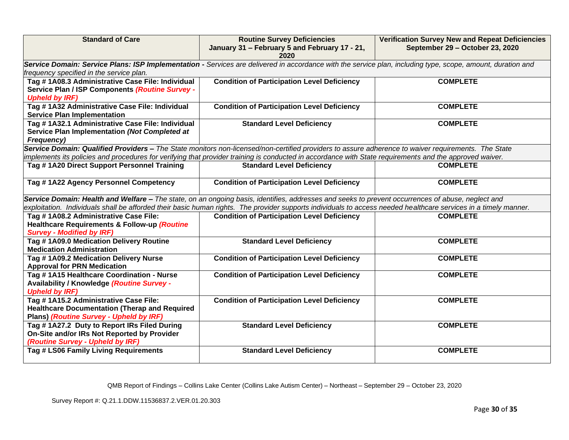| <b>Standard of Care</b>                                                                                                                   | <b>Routine Survey Deficiencies</b><br>January 31 - February 5 and February 17 - 21,<br>2020                                                                                                                                                                                                                           | <b>Verification Survey New and Repeat Deficiencies</b><br>September 29 - October 23, 2020 |  |
|-------------------------------------------------------------------------------------------------------------------------------------------|-----------------------------------------------------------------------------------------------------------------------------------------------------------------------------------------------------------------------------------------------------------------------------------------------------------------------|-------------------------------------------------------------------------------------------|--|
| frequency specified in the service plan.                                                                                                  | Service Domain: Service Plans: ISP Implementation - Services are delivered in accordance with the service plan, including type, scope, amount, duration and                                                                                                                                                           |                                                                                           |  |
| Tag #1A08.3 Administrative Case File: Individual<br>Service Plan / ISP Components (Routine Survey -<br><b>Upheld by IRF)</b>              | <b>Condition of Participation Level Deficiency</b>                                                                                                                                                                                                                                                                    | <b>COMPLETE</b>                                                                           |  |
| Tag #1A32 Administrative Case File: Individual<br><b>Service Plan Implementation</b>                                                      | <b>Condition of Participation Level Deficiency</b>                                                                                                                                                                                                                                                                    | <b>COMPLETE</b>                                                                           |  |
| Tag #1A32.1 Administrative Case File: Individual<br>Service Plan Implementation (Not Completed at<br><b>Frequency)</b>                    | <b>Standard Level Deficiency</b>                                                                                                                                                                                                                                                                                      | <b>COMPLETE</b>                                                                           |  |
|                                                                                                                                           | Service Domain: Qualified Providers - The State monitors non-licensed/non-certified providers to assure adherence to waiver requirements. The State<br>implements its policies and procedures for verifying that provider training is conducted in accordance with State requirements and the approved waiver.        |                                                                                           |  |
| Tag #1A20 Direct Support Personnel Training                                                                                               | <b>Standard Level Deficiency</b>                                                                                                                                                                                                                                                                                      | <b>COMPLETE</b>                                                                           |  |
| Tag #1A22 Agency Personnel Competency                                                                                                     | <b>Condition of Participation Level Deficiency</b>                                                                                                                                                                                                                                                                    | <b>COMPLETE</b>                                                                           |  |
|                                                                                                                                           | Service Domain: Health and Welfare - The state, on an ongoing basis, identifies, addresses and seeks to prevent occurrences of abuse, neglect and<br>exploitation. Individuals shall be afforded their basic human rights. The provider supports individuals to access needed healthcare services in a timely manner. |                                                                                           |  |
| Tag #1A08.2 Administrative Case File:<br>Healthcare Requirements & Follow-up (Routine<br><b>Survey - Modified by IRF)</b>                 | <b>Condition of Participation Level Deficiency</b>                                                                                                                                                                                                                                                                    | <b>COMPLETE</b>                                                                           |  |
| Tag #1A09.0 Medication Delivery Routine<br><b>Medication Administration</b>                                                               | <b>Standard Level Deficiency</b>                                                                                                                                                                                                                                                                                      | <b>COMPLETE</b>                                                                           |  |
| Tag #1A09.2 Medication Delivery Nurse<br><b>Approval for PRN Medication</b>                                                               | <b>Condition of Participation Level Deficiency</b>                                                                                                                                                                                                                                                                    | <b>COMPLETE</b>                                                                           |  |
| Tag #1A15 Healthcare Coordination - Nurse<br>Availability / Knowledge (Routine Survey -<br><b>Upheld by IRF)</b>                          | <b>Condition of Participation Level Deficiency</b>                                                                                                                                                                                                                                                                    | <b>COMPLETE</b>                                                                           |  |
| Tag # 1A15.2 Administrative Case File:<br><b>Healthcare Documentation (Therap and Required</b><br>Plans) (Routine Survey - Upheld by IRF) | <b>Condition of Participation Level Deficiency</b>                                                                                                                                                                                                                                                                    | <b>COMPLETE</b>                                                                           |  |
| Tag #1A27.2 Duty to Report IRs Filed During<br>On-Site and/or IRs Not Reported by Provider<br>(Routine Survey - Upheld by IRF)            | <b>Standard Level Deficiency</b>                                                                                                                                                                                                                                                                                      | <b>COMPLETE</b>                                                                           |  |
| Tag # LS06 Family Living Requirements                                                                                                     | <b>Standard Level Deficiency</b>                                                                                                                                                                                                                                                                                      | <b>COMPLETE</b>                                                                           |  |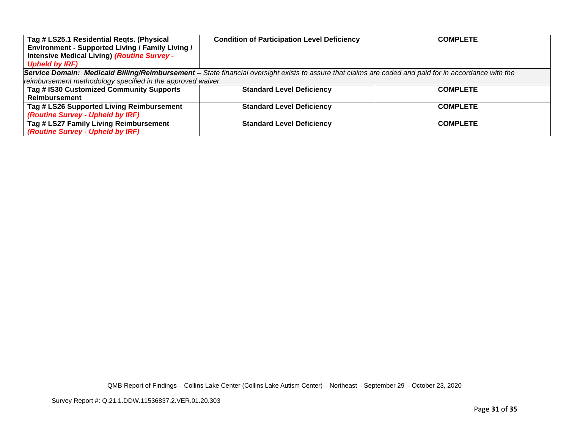| Tag # LS25.1 Residential Regts. (Physical                                                                                                             | <b>Condition of Participation Level Deficiency</b> | <b>COMPLETE</b> |
|-------------------------------------------------------------------------------------------------------------------------------------------------------|----------------------------------------------------|-----------------|
| Environment - Supported Living / Family Living /                                                                                                      |                                                    |                 |
| <b>Intensive Medical Living) (Routine Survey -</b>                                                                                                    |                                                    |                 |
| <b>Upheld by IRF)</b>                                                                                                                                 |                                                    |                 |
| Service Domain: Medicaid Billing/Reimbursement - State financial oversight exists to assure that claims are coded and paid for in accordance with the |                                                    |                 |
| reimbursement methodology specified in the approved waiver.                                                                                           |                                                    |                 |
| Tag # IS30 Customized Community Supports                                                                                                              | <b>Standard Level Deficiency</b>                   | <b>COMPLETE</b> |
| <b>Reimbursement</b>                                                                                                                                  |                                                    |                 |
| Tag # LS26 Supported Living Reimbursement                                                                                                             | <b>Standard Level Deficiency</b>                   | <b>COMPLETE</b> |
| (Routine Survey - Upheld by IRF)                                                                                                                      |                                                    |                 |
| Tag # LS27 Family Living Reimbursement                                                                                                                | <b>Standard Level Deficiency</b>                   | <b>COMPLETE</b> |
| (Routine Survey - Upheld by IRF)                                                                                                                      |                                                    |                 |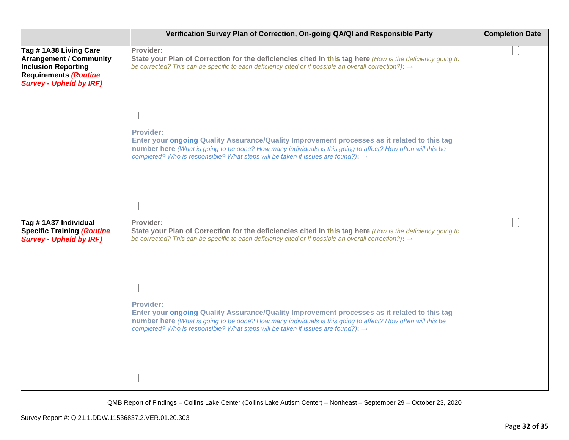|                                                                                                                                                         | Verification Survey Plan of Correction, On-going QA/QI and Responsible Party                                                                                                                                                                                                                                                    | <b>Completion Date</b> |
|---------------------------------------------------------------------------------------------------------------------------------------------------------|---------------------------------------------------------------------------------------------------------------------------------------------------------------------------------------------------------------------------------------------------------------------------------------------------------------------------------|------------------------|
| Tag #1A38 Living Care<br><b>Arrangement / Community</b><br><b>Inclusion Reporting</b><br><b>Requirements (Routine</b><br><b>Survey - Upheld by IRF)</b> | Provider:<br>State your Plan of Correction for the deficiencies cited in this tag here (How is the deficiency going to<br>be corrected? This can be specific to each deficiency cited or if possible an overall correction?): $\rightarrow$                                                                                     |                        |
|                                                                                                                                                         | <b>Provider:</b><br>Enter your ongoing Quality Assurance/Quality Improvement processes as it related to this tag<br>number here (What is going to be done? How many individuals is this going to affect? How often will this be<br>completed? Who is responsible? What steps will be taken if issues are found?): $\rightarrow$ |                        |
| Tag #1A37 Individual<br><b>Specific Training (Routine</b><br><b>Survey - Upheld by IRF)</b>                                                             | Provider:<br>State your Plan of Correction for the deficiencies cited in this tag here (How is the deficiency going to<br>be corrected? This can be specific to each deficiency cited or if possible an overall correction?): $\rightarrow$                                                                                     |                        |
|                                                                                                                                                         | <b>Provider:</b><br>Enter your ongoing Quality Assurance/Quality Improvement processes as it related to this tag<br>number here (What is going to be done? How many individuals is this going to affect? How often will this be<br>completed? Who is responsible? What steps will be taken if issues are found?): →             |                        |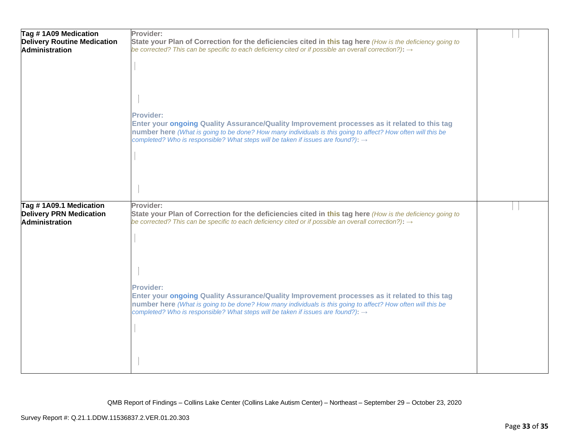| Tag #1A09 Medication               | Provider:                                                                                                                                                                                                   |  |
|------------------------------------|-------------------------------------------------------------------------------------------------------------------------------------------------------------------------------------------------------------|--|
| <b>Delivery Routine Medication</b> | State your Plan of Correction for the deficiencies cited in this tag here (How is the deficiency going to                                                                                                   |  |
| Administration                     | be corrected? This can be specific to each deficiency cited or if possible an overall correction?): $\rightarrow$                                                                                           |  |
|                                    |                                                                                                                                                                                                             |  |
|                                    |                                                                                                                                                                                                             |  |
|                                    |                                                                                                                                                                                                             |  |
|                                    |                                                                                                                                                                                                             |  |
|                                    |                                                                                                                                                                                                             |  |
|                                    | <b>Provider:</b>                                                                                                                                                                                            |  |
|                                    | Enter your ongoing Quality Assurance/Quality Improvement processes as it related to this tag                                                                                                                |  |
|                                    | number here (What is going to be done? How many individuals is this going to affect? How often will this be                                                                                                 |  |
|                                    | completed? Who is responsible? What steps will be taken if issues are found?): →                                                                                                                            |  |
|                                    |                                                                                                                                                                                                             |  |
|                                    |                                                                                                                                                                                                             |  |
|                                    |                                                                                                                                                                                                             |  |
|                                    |                                                                                                                                                                                                             |  |
|                                    |                                                                                                                                                                                                             |  |
| Tag #1A09.1 Medication             | Provider:                                                                                                                                                                                                   |  |
| <b>Delivery PRN Medication</b>     | State your Plan of Correction for the deficiencies cited in this tag here (How is the deficiency going to                                                                                                   |  |
| <b>Administration</b>              | be corrected? This can be specific to each deficiency cited or if possible an overall correction?): $\rightarrow$                                                                                           |  |
|                                    |                                                                                                                                                                                                             |  |
|                                    |                                                                                                                                                                                                             |  |
|                                    |                                                                                                                                                                                                             |  |
|                                    |                                                                                                                                                                                                             |  |
|                                    |                                                                                                                                                                                                             |  |
|                                    | <b>Provider:</b>                                                                                                                                                                                            |  |
|                                    | Enter your ongoing Quality Assurance/Quality Improvement processes as it related to this tag                                                                                                                |  |
|                                    | number here (What is going to be done? How many individuals is this going to affect? How often will this be<br>completed? Who is responsible? What steps will be taken if issues are found?): $\rightarrow$ |  |
|                                    |                                                                                                                                                                                                             |  |
|                                    |                                                                                                                                                                                                             |  |
|                                    |                                                                                                                                                                                                             |  |
|                                    |                                                                                                                                                                                                             |  |
|                                    |                                                                                                                                                                                                             |  |
|                                    |                                                                                                                                                                                                             |  |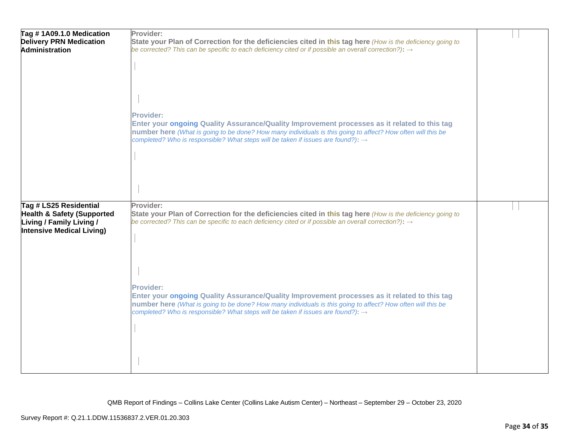| Tag #1A09.1.0 Medication<br><b>Delivery PRN Medication</b><br><b>Administration</b>                                      | Provider:<br>State your Plan of Correction for the deficiencies cited in this tag here (How is the deficiency going to<br>be corrected? This can be specific to each deficiency cited or if possible an overall correction?): $\rightarrow$<br><b>Provider:</b><br>Enter your ongoing Quality Assurance/Quality Improvement processes as it related to this tag<br>number here (What is going to be done? How many individuals is this going to affect? How often will this be<br>completed? Who is responsible? What steps will be taken if issues are found?): $\rightarrow$ |  |
|--------------------------------------------------------------------------------------------------------------------------|--------------------------------------------------------------------------------------------------------------------------------------------------------------------------------------------------------------------------------------------------------------------------------------------------------------------------------------------------------------------------------------------------------------------------------------------------------------------------------------------------------------------------------------------------------------------------------|--|
| Tag # LS25 Residential<br><b>Health &amp; Safety (Supported</b><br>Living / Family Living /<br>Intensive Medical Living) | Provider:<br>State your Plan of Correction for the deficiencies cited in this tag here (How is the deficiency going to<br>be corrected? This can be specific to each deficiency cited or if possible an overall correction?): $\rightarrow$                                                                                                                                                                                                                                                                                                                                    |  |
|                                                                                                                          | <b>Provider:</b><br>Enter your ongoing Quality Assurance/Quality Improvement processes as it related to this tag<br>number here (What is going to be done? How many individuals is this going to affect? How often will this be<br>completed? Who is responsible? What steps will be taken if issues are found?): $\rightarrow$                                                                                                                                                                                                                                                |  |